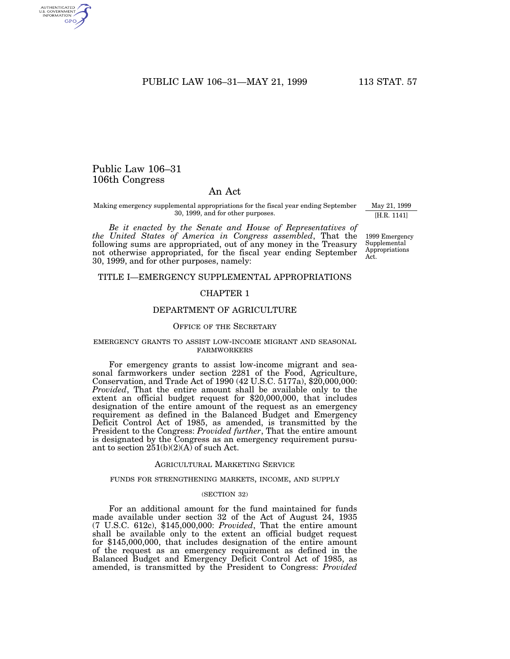PUBLIC LAW 106-31-MAY 21, 1999 113 STAT. 57

# Public Law 106–31 106th Congress

AUTHENTICATED<br>U.S. GOVERNMENT<br>INFORMATION GPO

# An Act

Making emergency supplemental appropriations for the fiscal year ending September 30, 1999, and for other purposes.

*Be it enacted by the Senate and House of Representatives of the United States of America in Congress assembled*, That the following sums are appropriated, out of any money in the Treasury not otherwise appropriated, for the fiscal year ending September 30, 1999, and for other purposes, namely:

May 21, 1999 [H.R. 1141]

1999 Emergency Supplemental Appropriations Act.

# TITLE I—EMERGENCY SUPPLEMENTAL APPROPRIATIONS

# CHAPTER 1

## DEPARTMENT OF AGRICULTURE

### OFFICE OF THE SECRETARY

## EMERGENCY GRANTS TO ASSIST LOW-INCOME MIGRANT AND SEASONAL FARMWORKERS

For emergency grants to assist low-income migrant and seasonal farmworkers under section 2281 of the Food, Agriculture, Conservation, and Trade Act of 1990 (42 U.S.C. 5177a), \$20,000,000: *Provided*, That the entire amount shall be available only to the extent an official budget request for \$20,000,000, that includes designation of the entire amount of the request as an emergency requirement as defined in the Balanced Budget and Emergency Deficit Control Act of 1985, as amended, is transmitted by the President to the Congress: *Provided further*, That the entire amount is designated by the Congress as an emergency requirement pursuant to section  $251(b)(2)(A)$  of such Act.

#### AGRICULTURAL MARKETING SERVICE

## FUNDS FOR STRENGTHENING MARKETS, INCOME, AND SUPPLY

## (SECTION 32)

For an additional amount for the fund maintained for funds made available under section 32 of the Act of August 24, 1935 (7 U.S.C. 612c), \$145,000,000: *Provided*, That the entire amount shall be available only to the extent an official budget request for \$145,000,000, that includes designation of the entire amount of the request as an emergency requirement as defined in the Balanced Budget and Emergency Deficit Control Act of 1985, as amended, is transmitted by the President to Congress: *Provided*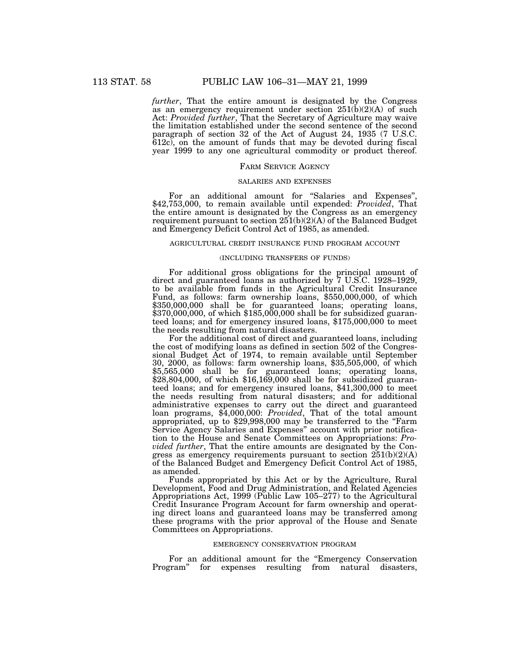*further*, That the entire amount is designated by the Congress as an emergency requirement under section  $251(b)(2)(A)$  of such Act: *Provided further*, That the Secretary of Agriculture may waive the limitation established under the second sentence of the second paragraph of section 32 of the Act of August 24, 1935 (7 U.S.C. 612c), on the amount of funds that may be devoted during fiscal year 1999 to any one agricultural commodity or product thereof.

#### FARM SERVICE AGENCY

## SALARIES AND EXPENSES

For an additional amount for ''Salaries and Expenses'', \$42,753,000, to remain available until expended: *Provided*, That the entire amount is designated by the Congress as an emergency requirement pursuant to section  $25(1(b)(2)(A))$  of the Balanced Budget and Emergency Deficit Control Act of 1985, as amended.

#### AGRICULTURAL CREDIT INSURANCE FUND PROGRAM ACCOUNT

## (INCLUDING TRANSFERS OF FUNDS)

For additional gross obligations for the principal amount of direct and guaranteed loans as authorized by 7 U.S.C. 1928–1929, to be available from funds in the Agricultural Credit Insurance Fund, as follows: farm ownership loans, \$550,000,000, of which \$350,000,000 shall be for guaranteed loans; operating loans, \$370,000,000, of which \$185,000,000 shall be for subsidized guaranteed loans; and for emergency insured loans, \$175,000,000 to meet the needs resulting from natural disasters.

For the additional cost of direct and guaranteed loans, including the cost of modifying loans as defined in section 502 of the Congressional Budget Act of 1974, to remain available until September 30, 2000, as follows: farm ownership loans, \$35,505,000, of which \$5,565,000 shall be for guaranteed loans; operating loans, \$28,804,000, of which \$16,169,000 shall be for subsidized guaranteed loans; and for emergency insured loans, \$41,300,000 to meet the needs resulting from natural disasters; and for additional administrative expenses to carry out the direct and guaranteed loan programs, \$4,000,000: *Provided*, That of the total amount appropriated, up to \$29,998,000 may be transferred to the ''Farm Service Agency Salaries and Expenses'' account with prior notification to the House and Senate Committees on Appropriations: *Provided further*, That the entire amounts are designated by the Congress as emergency requirements pursuant to section  $251(b)(2)(A)$ of the Balanced Budget and Emergency Deficit Control Act of 1985, as amended.

Funds appropriated by this Act or by the Agriculture, Rural Development, Food and Drug Administration, and Related Agencies Appropriations Act, 1999 (Public Law 105–277) to the Agricultural Credit Insurance Program Account for farm ownership and operating direct loans and guaranteed loans may be transferred among these programs with the prior approval of the House and Senate Committees on Appropriations.

## EMERGENCY CONSERVATION PROGRAM

For an additional amount for the "Emergency Conservation Program" for expenses resulting from natural disasters,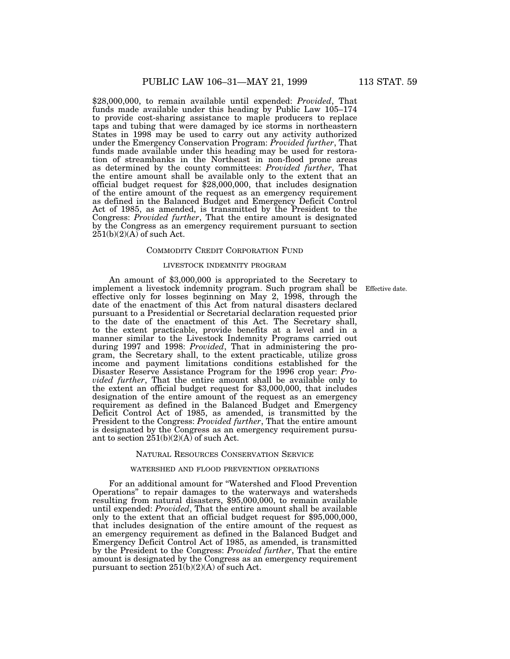\$28,000,000, to remain available until expended: *Provided*, That funds made available under this heading by Public Law 105–174 to provide cost-sharing assistance to maple producers to replace taps and tubing that were damaged by ice storms in northeastern States in 1998 may be used to carry out any activity authorized under the Emergency Conservation Program: *Provided further*, That funds made available under this heading may be used for restoration of streambanks in the Northeast in non-flood prone areas as determined by the county committees: *Provided further*, That the entire amount shall be available only to the extent that an official budget request for \$28,000,000, that includes designation of the entire amount of the request as an emergency requirement as defined in the Balanced Budget and Emergency Deficit Control Act of 1985, as amended, is transmitted by the President to the Congress: *Provided further*, That the entire amount is designated by the Congress as an emergency requirement pursuant to section  $251(b)(2)(A)$  of such Act.

#### COMMODITY CREDIT CORPORATION FUND

#### LIVESTOCK INDEMNITY PROGRAM

Effective date.

An amount of \$3,000,000 is appropriated to the Secretary to implement a livestock indemnity program. Such program shall be effective only for losses beginning on May 2, 1998, through the date of the enactment of this Act from natural disasters declared pursuant to a Presidential or Secretarial declaration requested prior to the date of the enactment of this Act. The Secretary shall, to the extent practicable, provide benefits at a level and in a manner similar to the Livestock Indemnity Programs carried out during 1997 and 1998: *Provided*, That in administering the program, the Secretary shall, to the extent practicable, utilize gross income and payment limitations conditions established for the Disaster Reserve Assistance Program for the 1996 crop year: *Provided further*, That the entire amount shall be available only to the extent an official budget request for \$3,000,000, that includes designation of the entire amount of the request as an emergency requirement as defined in the Balanced Budget and Emergency Deficit Control Act of 1985, as amended, is transmitted by the President to the Congress: *Provided further*, That the entire amount is designated by the Congress as an emergency requirement pursuant to section  $251(b)(2)(A)$  of such Act.

## NATURAL RESOURCES CONSERVATION SERVICE

### WATERSHED AND FLOOD PREVENTION OPERATIONS

For an additional amount for ''Watershed and Flood Prevention Operations'' to repair damages to the waterways and watersheds resulting from natural disasters, \$95,000,000, to remain available until expended: *Provided*, That the entire amount shall be available only to the extent that an official budget request for \$95,000,000, that includes designation of the entire amount of the request as an emergency requirement as defined in the Balanced Budget and Emergency Deficit Control Act of 1985, as amended, is transmitted by the President to the Congress: *Provided further*, That the entire amount is designated by the Congress as an emergency requirement pursuant to section 251(b)(2)(A) of such Act.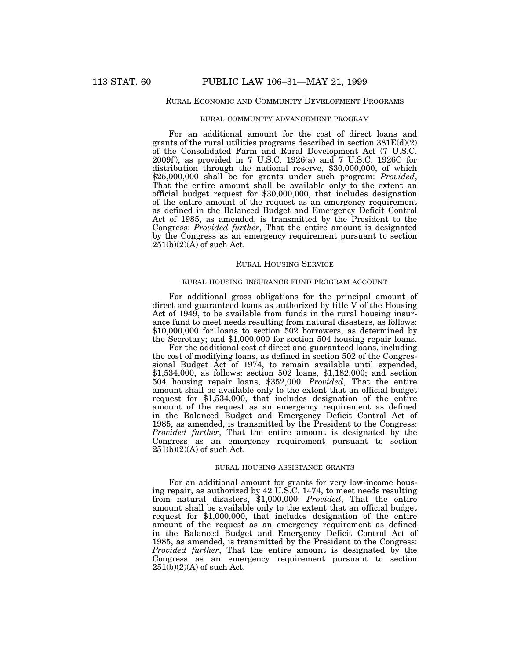## RURAL ECONOMIC AND COMMUNITY DEVELOPMENT PROGRAMS

## RURAL COMMUNITY ADVANCEMENT PROGRAM

For an additional amount for the cost of direct loans and grants of the rural utilities programs described in section  $381E(d)(2)$ of the Consolidated Farm and Rural Development Act (7 U.S.C. 2009f ), as provided in 7 U.S.C. 1926(a) and 7 U.S.C. 1926C for distribution through the national reserve, \$30,000,000, of which \$25,000,000 shall be for grants under such program: *Provided*, That the entire amount shall be available only to the extent an official budget request for \$30,000,000, that includes designation of the entire amount of the request as an emergency requirement as defined in the Balanced Budget and Emergency Deficit Control Act of 1985, as amended, is transmitted by the President to the Congress: *Provided further*, That the entire amount is designated by the Congress as an emergency requirement pursuant to section  $251(b)(2)(A)$  of such Act.

## RURAL HOUSING SERVICE

## RURAL HOUSING INSURANCE FUND PROGRAM ACCOUNT

For additional gross obligations for the principal amount of direct and guaranteed loans as authorized by title V of the Housing Act of 1949, to be available from funds in the rural housing insurance fund to meet needs resulting from natural disasters, as follows: \$10,000,000 for loans to section 502 borrowers, as determined by the Secretary; and \$1,000,000 for section 504 housing repair loans.

For the additional cost of direct and guaranteed loans, including the cost of modifying loans, as defined in section 502 of the Congressional Budget Act of 1974, to remain available until expended, \$1,534,000, as follows: section 502 loans, \$1,182,000; and section 504 housing repair loans, \$352,000: *Provided*, That the entire amount shall be available only to the extent that an official budget request for \$1,534,000, that includes designation of the entire amount of the request as an emergency requirement as defined in the Balanced Budget and Emergency Deficit Control Act of 1985, as amended, is transmitted by the President to the Congress: *Provided further*, That the entire amount is designated by the Congress as an emergency requirement pursuant to section  $251(b)(2)(A)$  of such Act.

### RURAL HOUSING ASSISTANCE GRANTS

For an additional amount for grants for very low-income housing repair, as authorized by 42 U.S.C. 1474, to meet needs resulting from natural disasters, \$1,000,000: *Provided*, That the entire amount shall be available only to the extent that an official budget request for \$1,000,000, that includes designation of the entire amount of the request as an emergency requirement as defined in the Balanced Budget and Emergency Deficit Control Act of 1985, as amended, is transmitted by the President to the Congress: *Provided further*, That the entire amount is designated by the Congress as an emergency requirement pursuant to section  $251(b)(2)(A)$  of such Act.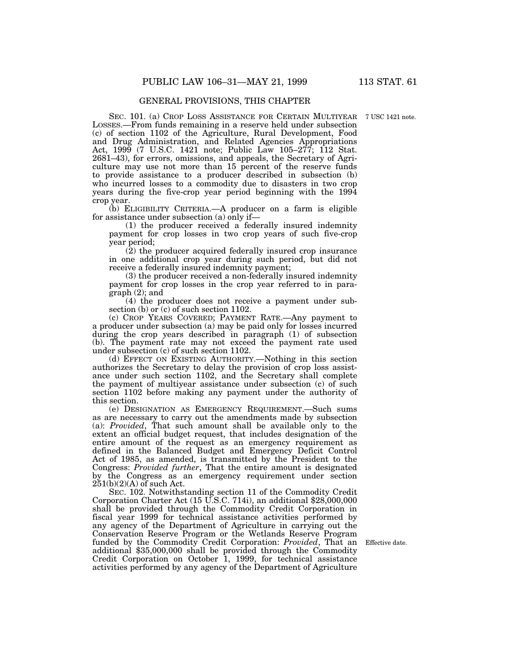# GENERAL PROVISIONS, THIS CHAPTER

SEC. 101. (a) CROP LOSS ASSISTANCE FOR CERTAIN MULTIYEAR 7 USC 1421 note. LOSSES.—From funds remaining in a reserve held under subsection (c) of section 1102 of the Agriculture, Rural Development, Food and Drug Administration, and Related Agencies Appropriations Act, 1999 (7 U.S.C. 1421 note; Public Law 105–277; 112 Stat. 2681–43), for errors, omissions, and appeals, the Secretary of Agriculture may use not more than 15 percent of the reserve funds to provide assistance to a producer described in subsection (b) who incurred losses to a commodity due to disasters in two crop years during the five-crop year period beginning with the 1994 crop year.

(b) ELIGIBILITY CRITERIA.—A producer on a farm is eligible for assistance under subsection (a) only if—

(1) the producer received a federally insured indemnity payment for crop losses in two crop years of such five-crop year period;

(2) the producer acquired federally insured crop insurance in one additional crop year during such period, but did not receive a federally insured indemnity payment;

(3) the producer received a non-federally insured indemnity payment for crop losses in the crop year referred to in paragraph (2); and

(4) the producer does not receive a payment under subsection (b) or (c) of such section 1102.

(c) CROP YEARS COVERED; PAYMENT RATE.—Any payment to a producer under subsection (a) may be paid only for losses incurred during the crop years described in paragraph (1) of subsection (b). The payment rate may not exceed the payment rate used under subsection (c) of such section 1102.

(d) EFFECT ON EXISTING AUTHORITY.—Nothing in this section authorizes the Secretary to delay the provision of crop loss assistance under such section 1102, and the Secretary shall complete the payment of multiyear assistance under subsection (c) of such section 1102 before making any payment under the authority of this section.

(e) DESIGNATION AS EMERGENCY REQUIREMENT.—Such sums as are necessary to carry out the amendments made by subsection (a): *Provided*, That such amount shall be available only to the extent an official budget request, that includes designation of the entire amount of the request as an emergency requirement as defined in the Balanced Budget and Emergency Deficit Control Act of 1985, as amended, is transmitted by the President to the Congress: *Provided further*, That the entire amount is designated by the Congress as an emergency requirement under section  $251(b)(2)(A)$  of such Act.

SEC. 102. Notwithstanding section 11 of the Commodity Credit Corporation Charter Act (15 U.S.C. 714i), an additional \$28,000,000 shall be provided through the Commodity Credit Corporation in fiscal year 1999 for technical assistance activities performed by any agency of the Department of Agriculture in carrying out the Conservation Reserve Program or the Wetlands Reserve Program funded by the Commodity Credit Corporation: *Provided*, That an additional \$35,000,000 shall be provided through the Commodity Credit Corporation on October 1, 1999, for technical assistance activities performed by any agency of the Department of Agriculture

Effective date.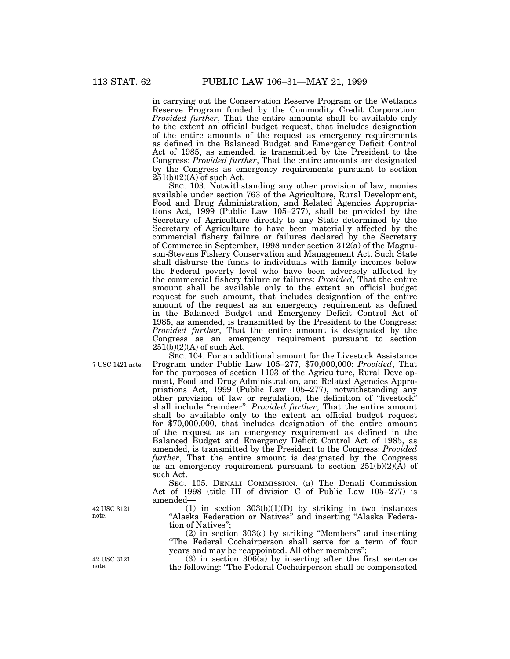in carrying out the Conservation Reserve Program or the Wetlands Reserve Program funded by the Commodity Credit Corporation: *Provided further*, That the entire amounts shall be available only to the extent an official budget request, that includes designation of the entire amounts of the request as emergency requirements as defined in the Balanced Budget and Emergency Deficit Control Act of 1985, as amended, is transmitted by the President to the Congress: *Provided further*, That the entire amounts are designated by the Congress as emergency requirements pursuant to section  $251(b)(2)(A)$  of such Act.

SEC. 103. Notwithstanding any other provision of law, monies available under section 763 of the Agriculture, Rural Development, Food and Drug Administration, and Related Agencies Appropriations Act, 1999 (Public Law 105–277), shall be provided by the Secretary of Agriculture directly to any State determined by the Secretary of Agriculture to have been materially affected by the commercial fishery failure or failures declared by the Secretary of Commerce in September, 1998 under section 312(a) of the Magnuson-Stevens Fishery Conservation and Management Act. Such State shall disburse the funds to individuals with family incomes below the Federal poverty level who have been adversely affected by the commercial fishery failure or failures: *Provided*, That the entire amount shall be available only to the extent an official budget request for such amount, that includes designation of the entire amount of the request as an emergency requirement as defined in the Balanced Budget and Emergency Deficit Control Act of 1985, as amended, is transmitted by the President to the Congress: *Provided further*, That the entire amount is designated by the Congress as an emergency requirement pursuant to section  $251(b)(2)(A)$  of such Act.

7 USC 1421 note.

SEC. 104. For an additional amount for the Livestock Assistance Program under Public Law 105–277, \$70,000,000: *Provided*, That for the purposes of section 1103 of the Agriculture, Rural Development, Food and Drug Administration, and Related Agencies Appropriations Act, 1999 (Public Law 105–277), notwithstanding any other provision of law or regulation, the definition of ''livestock'' shall include "reindeer": *Provided further*, That the entire amount shall be available only to the extent an official budget request for \$70,000,000, that includes designation of the entire amount of the request as an emergency requirement as defined in the Balanced Budget and Emergency Deficit Control Act of 1985, as amended, is transmitted by the President to the Congress: *Provided further*, That the entire amount is designated by the Congress as an emergency requirement pursuant to section  $251(b)(2)(\overline{A})$  of such Act.

SEC. 105. DENALI COMMISSION. (a) The Denali Commission Act of 1998 (title III of division C of Public Law 105–277) is amended—

(1) in section  $303(b)(1)(D)$  by striking in two instances ''Alaska Federation or Natives'' and inserting ''Alaska Federation of Natives'';

(2) in section 303(c) by striking ''Members'' and inserting ''The Federal Cochairperson shall serve for a term of four years and may be reappointed. All other members'';

(3) in section 306(a) by inserting after the first sentence the following: ''The Federal Cochairperson shall be compensated

42 USC 3121 note.

42 USC 3121 note.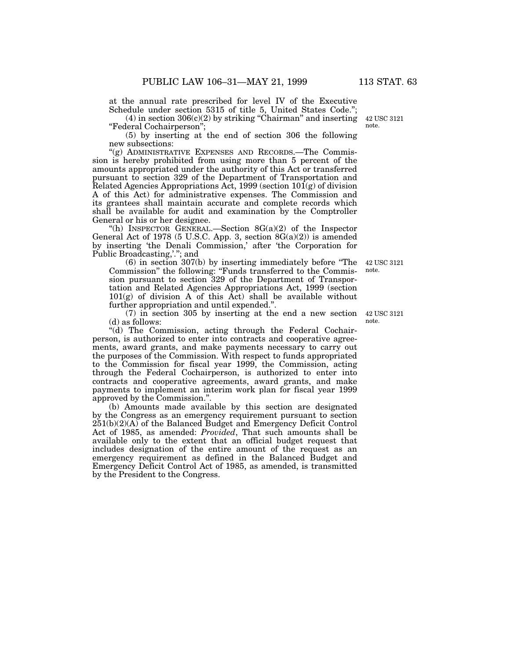at the annual rate prescribed for level IV of the Executive Schedule under section 5315 of title 5, United States Code.'';

 $(4)$  in section 306 $(c)(2)$  by striking "Chairman" and inserting ''Federal Cochairperson'';

(5) by inserting at the end of section 306 the following new subsections:

"(g) ADMINISTRATIVE EXPENSES AND RECORDS.—The Commission is hereby prohibited from using more than 5 percent of the amounts appropriated under the authority of this Act or transferred pursuant to section 329 of the Department of Transportation and Related Agencies Appropriations Act, 1999 (section  $101(g)$  of division A of this Act) for administrative expenses. The Commission and its grantees shall maintain accurate and complete records which shall be available for audit and examination by the Comptroller General or his or her designee.

''(h) INSPECTOR GENERAL.—Section 8G(a)(2) of the Inspector General Act of 1978 (5 U.S.C. App. 3, section  $8G(a)(2)$ ) is amended by inserting 'the Denali Commission,' after 'the Corporation for Public Broadcasting,'.''; and

(6) in section 307(b) by inserting immediately before ''The Commission'' the following: ''Funds transferred to the Commission pursuant to section 329 of the Department of Transportation and Related Agencies Appropriations Act, 1999 (section  $101(g)$  of division A of this Act) shall be available without further appropriation and until expended.''.

(7) in section 305 by inserting at the end a new section (d) as follows:

"(d) The Commission, acting through the Federal Cochairperson, is authorized to enter into contracts and cooperative agreements, award grants, and make payments necessary to carry out the purposes of the Commission. With respect to funds appropriated to the Commission for fiscal year 1999, the Commission, acting through the Federal Cochairperson, is authorized to enter into contracts and cooperative agreements, award grants, and make payments to implement an interim work plan for fiscal year 1999 approved by the Commission.''.

(b) Amounts made available by this section are designated by the Congress as an emergency requirement pursuant to section 251(b)(2)(A) of the Balanced Budget and Emergency Deficit Control Act of 1985, as amended: *Provided*, That such amounts shall be available only to the extent that an official budget request that includes designation of the entire amount of the request as an emergency requirement as defined in the Balanced Budget and Emergency Deficit Control Act of 1985, as amended, is transmitted by the President to the Congress.

42 USC 3121 note.

42 USC 3121 note.

42 USC 3121 note.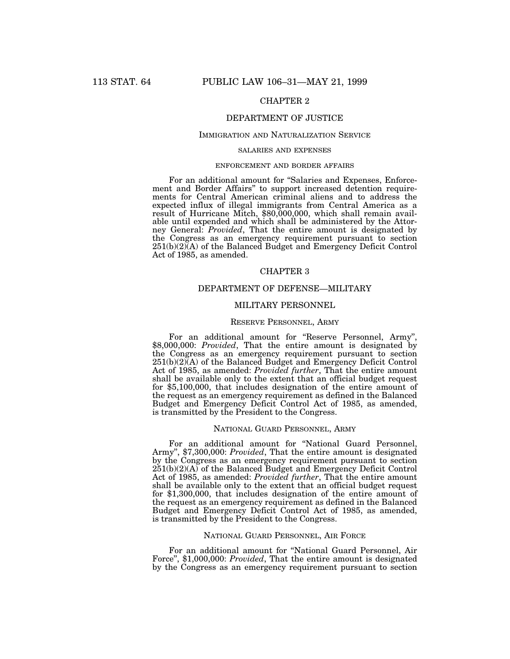# CHAPTER 2

# DEPARTMENT OF JUSTICE

#### IMMIGRATION AND NATURALIZATION SERVICE

## SALARIES AND EXPENSES

# ENFORCEMENT AND BORDER AFFAIRS

For an additional amount for "Salaries and Expenses, Enforcement and Border Affairs'' to support increased detention requirements for Central American criminal aliens and to address the expected influx of illegal immigrants from Central America as a result of Hurricane Mitch, \$80,000,000, which shall remain available until expended and which shall be administered by the Attorney General: *Provided*, That the entire amount is designated by the Congress as an emergency requirement pursuant to section  $251(b)(2)$ <sup>(A)</sup> of the Balanced Budget and Emergency Deficit Control Act of 1985, as amended.

## CHAPTER 3

# DEPARTMENT OF DEFENSE—MILITARY

# MILITARY PERSONNEL

## RESERVE PERSONNEL, ARMY

For an additional amount for ''Reserve Personnel, Army'', \$8,000,000: *Provided*, That the entire amount is designated by the Congress as an emergency requirement pursuant to section  $251(b)(2)(A)$  of the Balanced Budget and Emergency Deficit Control Act of 1985, as amended: *Provided further*, That the entire amount shall be available only to the extent that an official budget request for \$5,100,000, that includes designation of the entire amount of the request as an emergency requirement as defined in the Balanced Budget and Emergency Deficit Control Act of 1985, as amended, is transmitted by the President to the Congress.

## NATIONAL GUARD PERSONNEL, ARMY

For an additional amount for ''National Guard Personnel, Army'', \$7,300,000: *Provided*, That the entire amount is designated by the Congress as an emergency requirement pursuant to section  $251(b)(2)(A)$  of the Balanced Budget and Emergency Deficit Control Act of 1985, as amended: *Provided further*, That the entire amount shall be available only to the extent that an official budget request for \$1,300,000, that includes designation of the entire amount of the request as an emergency requirement as defined in the Balanced Budget and Emergency Deficit Control Act of 1985, as amended, is transmitted by the President to the Congress.

## NATIONAL GUARD PERSONNEL, AIR FORCE

For an additional amount for ''National Guard Personnel, Air Force", \$1,000,000: *Provided*, That the entire amount is designated by the Congress as an emergency requirement pursuant to section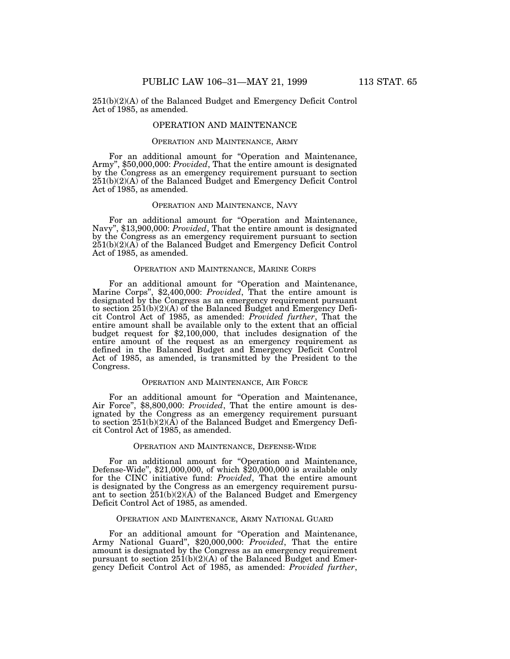251(b)(2)(A) of the Balanced Budget and Emergency Deficit Control Act of 1985, as amended.

## OPERATION AND MAINTENANCE

## OPERATION AND MAINTENANCE, ARMY

For an additional amount for ''Operation and Maintenance, Army'', \$50,000,000: *Provided*, That the entire amount is designated by the Congress as an emergency requirement pursuant to section 251(b)(2)(A) of the Balanced Budget and Emergency Deficit Control Act of 1985, as amended.

# OPERATION AND MAINTENANCE, NAVY

For an additional amount for "Operation and Maintenance, Navy", \$13,900,000: *Provided*, That the entire amount is designated by the Congress as an emergency requirement pursuant to section 251(b)(2)(A) of the Balanced Budget and Emergency Deficit Control Act of 1985, as amended.

# OPERATION AND MAINTENANCE, MARINE CORPS

For an additional amount for ''Operation and Maintenance, Marine Corps'', \$2,400,000: *Provided*, That the entire amount is designated by the Congress as an emergency requirement pursuant to section  $251(b)(2)(A)$  of the Balanced Budget and Emergency Deficit Control Act of 1985, as amended: *Provided further*, That the entire amount shall be available only to the extent that an official budget request for \$2,100,000, that includes designation of the entire amount of the request as an emergency requirement as defined in the Balanced Budget and Emergency Deficit Control Act of 1985, as amended, is transmitted by the President to the Congress.

## OPERATION AND MAINTENANCE, AIR FORCE

For an additional amount for "Operation and Maintenance, Air Force", \$8,800,000: *Provided*, That the entire amount is designated by the Congress as an emergency requirement pursuant to section 251(b)(2)(A) of the Balanced Budget and Emergency Deficit Control Act of 1985, as amended.

#### OPERATION AND MAINTENANCE, DEFENSE-WIDE

For an additional amount for ''Operation and Maintenance, Defense-Wide'', \$21,000,000, of which \$20,000,000 is available only for the CINC initiative fund: *Provided*, That the entire amount is designated by the Congress as an emergency requirement pursuant to section  $251(b)(2)(\overrightarrow{A})$  of the Balanced Budget and Emergency Deficit Control Act of 1985, as amended.

## OPERATION AND MAINTENANCE, ARMY NATIONAL GUARD

For an additional amount for "Operation and Maintenance, Army National Guard", \$20,000,000: *Provided*, That the entire amount is designated by the Congress as an emergency requirement pursuant to section  $251(b)(2)(A)$  of the Balanced Budget and Emergency Deficit Control Act of 1985, as amended: *Provided further*,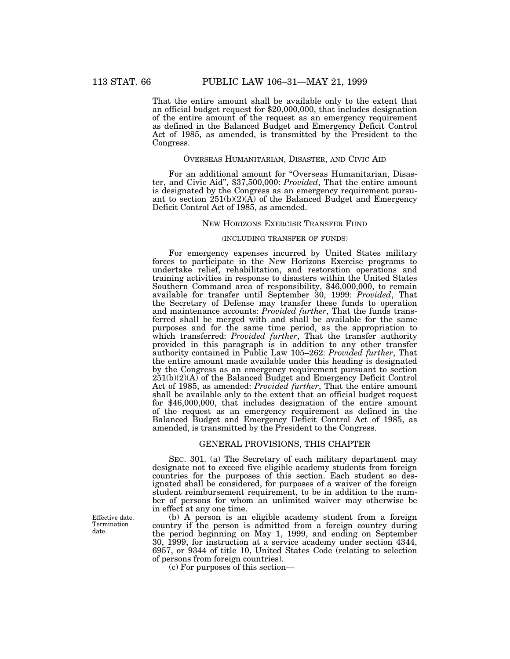That the entire amount shall be available only to the extent that an official budget request for \$20,000,000, that includes designation of the entire amount of the request as an emergency requirement as defined in the Balanced Budget and Emergency Deficit Control Act of 1985, as amended, is transmitted by the President to the Congress.

# OVERSEAS HUMANITARIAN, DISASTER, AND CIVIC AID

For an additional amount for "Overseas Humanitarian, Disaster, and Civic Aid'', \$37,500,000: *Provided*, That the entire amount is designated by the Congress as an emergency requirement pursuant to section  $251(b)(2)(\overline{A})$  of the Balanced Budget and Emergency Deficit Control Act of 1985, as amended.

### NEW HORIZONS EXERCISE TRANSFER FUND

# (INCLUDING TRANSFER OF FUNDS)

For emergency expenses incurred by United States military forces to participate in the New Horizons Exercise programs to undertake relief, rehabilitation, and restoration operations and training activities in response to disasters within the United States Southern Command area of responsibility, \$46,000,000, to remain available for transfer until September 30, 1999: *Provided*, That the Secretary of Defense may transfer these funds to operation and maintenance accounts: *Provided further*, That the funds transferred shall be merged with and shall be available for the same purposes and for the same time period, as the appropriation to which transferred: *Provided further*, That the transfer authority provided in this paragraph is in addition to any other transfer authority contained in Public Law 105–262: *Provided further*, That the entire amount made available under this heading is designated by the Congress as an emergency requirement pursuant to section 251(b)(2)(A) of the Balanced Budget and Emergency Deficit Control Act of 1985, as amended: *Provided further*, That the entire amount shall be available only to the extent that an official budget request for \$46,000,000, that includes designation of the entire amount of the request as an emergency requirement as defined in the Balanced Budget and Emergency Deficit Control Act of 1985, as amended, is transmitted by the President to the Congress.

# GENERAL PROVISIONS, THIS CHAPTER

SEC. 301. (a) The Secretary of each military department may designate not to exceed five eligible academy students from foreign countries for the purposes of this section. Each student so designated shall be considered, for purposes of a waiver of the foreign student reimbursement requirement, to be in addition to the number of persons for whom an unlimited waiver may otherwise be in effect at any one time.

(b) A person is an eligible academy student from a foreign country if the person is admitted from a foreign country during the period beginning on May 1, 1999, and ending on September 30, 1999, for instruction at a service academy under section 4344, 6957, or 9344 of title 10, United States Code (relating to selection of persons from foreign countries).

(c) For purposes of this section—

Effective date. Termination date.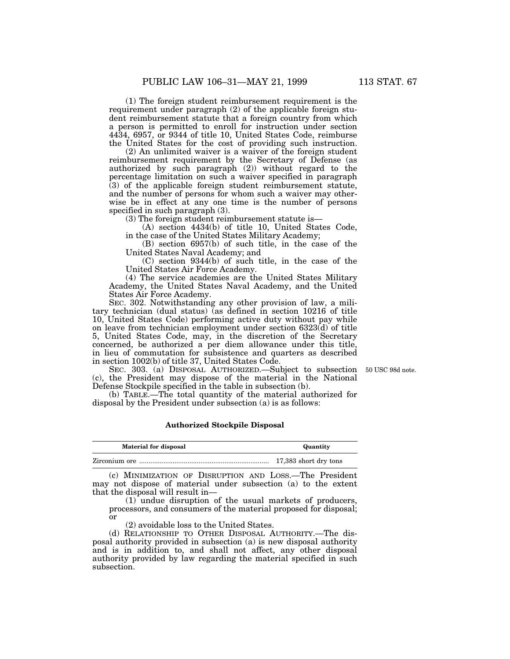(1) The foreign student reimbursement requirement is the requirement under paragraph (2) of the applicable foreign student reimbursement statute that a foreign country from which a person is permitted to enroll for instruction under section 4434, 6957, or 9344 of title 10, United States Code, reimburse the United States for the cost of providing such instruction.

(2) An unlimited waiver is a waiver of the foreign student reimbursement requirement by the Secretary of Defense (as authorized by such paragraph (2)) without regard to the percentage limitation on such a waiver specified in paragraph (3) of the applicable foreign student reimbursement statute, and the number of persons for whom such a waiver may otherwise be in effect at any one time is the number of persons specified in such paragraph (3).

(3) The foreign student reimbursement statute is—

(A) section 4434(b) of title 10, United States Code, in the case of the United States Military Academy;

(B) section 6957(b) of such title, in the case of the United States Naval Academy; and

(C) section 9344(b) of such title, in the case of the United States Air Force Academy.

(4) The service academies are the United States Military Academy, the United States Naval Academy, and the United States Air Force Academy.

SEC. 302. Notwithstanding any other provision of law, a military technician (dual status) (as defined in section 10216 of title 10, United States Code) performing active duty without pay while on leave from technician employment under section 6323(d) of title 5, United States Code, may, in the discretion of the Secretary concerned, be authorized a per diem allowance under this title, in lieu of commutation for subsistence and quarters as described in section 1002(b) of title 37, United States Code.

50 USC 98d note.

SEC. 303. (a) DISPOSAL AUTHORIZED.—Subject to subsection (c), the President may dispose of the material in the National Defense Stockpile specified in the table in subsection (b).

(b) TABLE.—The total quantity of the material authorized for disposal by the President under subsection (a) is as follows:

## **Authorized Stockpile Disposal**

| <b>Material for disposal</b> | Quantity              |
|------------------------------|-----------------------|
|                              | 17,383 short dry tons |

(c) MINIMIZATION OF DISRUPTION AND LOSS.—The President may not dispose of material under subsection (a) to the extent that the disposal will result in—

(1) undue disruption of the usual markets of producers, processors, and consumers of the material proposed for disposal; or

(2) avoidable loss to the United States.

(d) RELATIONSHIP TO OTHER DISPOSAL AUTHORITY.—The disposal authority provided in subsection (a) is new disposal authority and is in addition to, and shall not affect, any other disposal authority provided by law regarding the material specified in such subsection.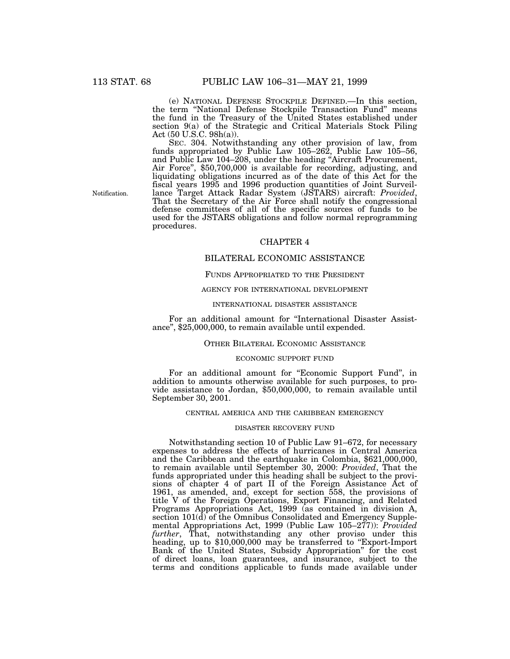(e) NATIONAL DEFENSE STOCKPILE DEFINED.—In this section, the term ''National Defense Stockpile Transaction Fund'' means the fund in the Treasury of the United States established under section 9(a) of the Strategic and Critical Materials Stock Piling Act (50 U.S.C. 98h(a)).

SEC. 304. Notwithstanding any other provision of law, from funds appropriated by Public Law 105–262, Public Law 105–56, and Public Law 104–208, under the heading ''Aircraft Procurement, Air Force'', \$50,700,000 is available for recording, adjusting, and liquidating obligations incurred as of the date of this Act for the fiscal years 1995 and 1996 production quantities of Joint Surveillance Target Attack Radar System (JSTARS) aircraft: *Provided*, That the Secretary of the Air Force shall notify the congressional defense committees of all of the specific sources of funds to be used for the JSTARS obligations and follow normal reprogramming procedures.

# CHAPTER 4

## BILATERAL ECONOMIC ASSISTANCE

# FUNDS APPROPRIATED TO THE PRESIDENT

## AGENCY FOR INTERNATIONAL DEVELOPMENT

# INTERNATIONAL DISASTER ASSISTANCE

For an additional amount for ''International Disaster Assistance'', \$25,000,000, to remain available until expended.

# OTHER BILATERAL ECONOMIC ASSISTANCE

### ECONOMIC SUPPORT FUND

For an additional amount for "Economic Support Fund", in addition to amounts otherwise available for such purposes, to provide assistance to Jordan, \$50,000,000, to remain available until September 30, 2001.

## CENTRAL AMERICA AND THE CARIBBEAN EMERGENCY

#### DISASTER RECOVERY FUND

Notwithstanding section 10 of Public Law 91–672, for necessary expenses to address the effects of hurricanes in Central America and the Caribbean and the earthquake in Colombia, \$621,000,000, to remain available until September 30, 2000: *Provided*, That the funds appropriated under this heading shall be subject to the provisions of chapter 4 of part II of the Foreign Assistance Act of 1961, as amended, and, except for section 558, the provisions of title V of the Foreign Operations, Export Financing, and Related Programs Appropriations Act, 1999 (as contained in division A, section 101(d) of the Omnibus Consolidated and Emergency Supplemental Appropriations Act, 1999 (Public Law 105–277)): *Provided further*, That, notwithstanding any other proviso under this heading, up to \$10,000,000 may be transferred to ''Export-Import Bank of the United States, Subsidy Appropriation'' for the cost of direct loans, loan guarantees, and insurance, subject to the terms and conditions applicable to funds made available under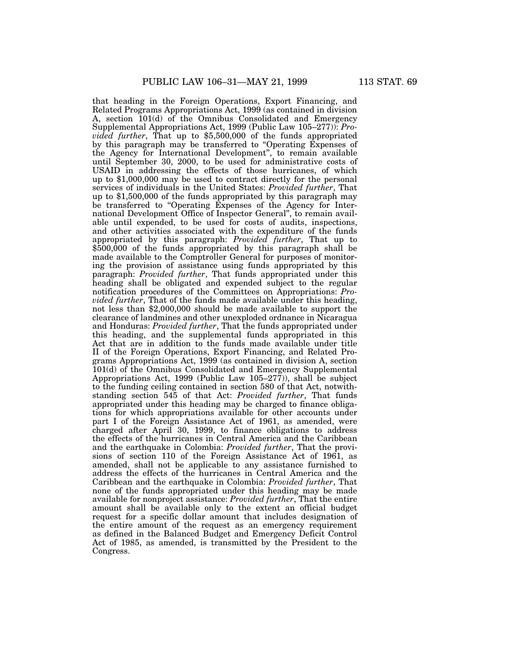that heading in the Foreign Operations, Export Financing, and Related Programs Appropriations Act, 1999 (as contained in division A, section 101(d) of the Omnibus Consolidated and Emergency Supplemental Appropriations Act, 1999 (Public Law 105–277)): *Provided further*, That up to \$5,500,000 of the funds appropriated by this paragraph may be transferred to ''Operating Expenses of the Agency for International Development'', to remain available until September 30, 2000, to be used for administrative costs of USAID in addressing the effects of those hurricanes, of which up to \$1,000,000 may be used to contract directly for the personal services of individuals in the United States: *Provided further*, That up to \$1,500,000 of the funds appropriated by this paragraph may be transferred to "Operating Expenses of the Agency for International Development Office of Inspector General'', to remain available until expended, to be used for costs of audits, inspections, and other activities associated with the expenditure of the funds appropriated by this paragraph: *Provided further*, That up to \$500,000 of the funds appropriated by this paragraph shall be made available to the Comptroller General for purposes of monitoring the provision of assistance using funds appropriated by this paragraph: *Provided further*, That funds appropriated under this heading shall be obligated and expended subject to the regular notification procedures of the Committees on Appropriations: *Provided further*, That of the funds made available under this heading, not less than \$2,000,000 should be made available to support the clearance of landmines and other unexploded ordnance in Nicaragua and Honduras: *Provided further*, That the funds appropriated under this heading, and the supplemental funds appropriated in this Act that are in addition to the funds made available under title II of the Foreign Operations, Export Financing, and Related Programs Appropriations Act, 1999 (as contained in division A, section 101(d) of the Omnibus Consolidated and Emergency Supplemental Appropriations Act, 1999 (Public Law 105–277)), shall be subject to the funding ceiling contained in section 580 of that Act, notwithstanding section 545 of that Act: *Provided further*, That funds appropriated under this heading may be charged to finance obligations for which appropriations available for other accounts under part I of the Foreign Assistance Act of 1961, as amended, were charged after April 30, 1999, to finance obligations to address the effects of the hurricanes in Central America and the Caribbean and the earthquake in Colombia: *Provided further*, That the provisions of section 110 of the Foreign Assistance Act of 1961, as amended, shall not be applicable to any assistance furnished to address the effects of the hurricanes in Central America and the Caribbean and the earthquake in Colombia: *Provided further*, That none of the funds appropriated under this heading may be made available for nonproject assistance: *Provided further*, That the entire amount shall be available only to the extent an official budget request for a specific dollar amount that includes designation of the entire amount of the request as an emergency requirement as defined in the Balanced Budget and Emergency Deficit Control Act of 1985, as amended, is transmitted by the President to the Congress.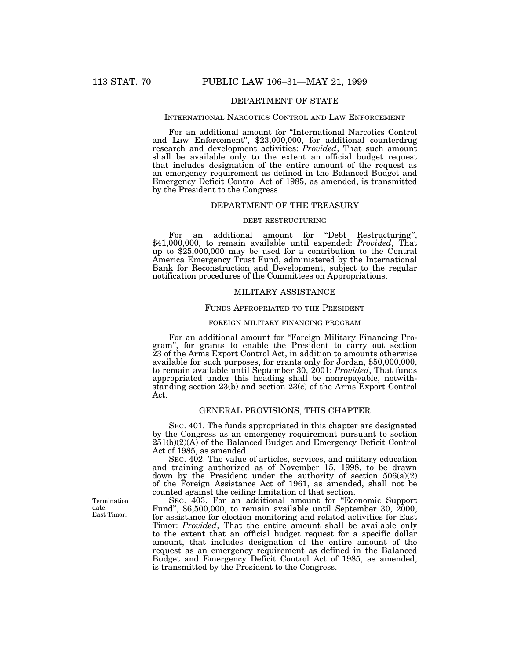# DEPARTMENT OF STATE

## INTERNATIONAL NARCOTICS CONTROL AND LAW ENFORCEMENT

For an additional amount for ''International Narcotics Control and Law Enforcement'', \$23,000,000, for additional counterdrug research and development activities: *Provided*, That such amount shall be available only to the extent an official budget request that includes designation of the entire amount of the request as an emergency requirement as defined in the Balanced Budget and Emergency Deficit Control Act of 1985, as amended, is transmitted by the President to the Congress.

# DEPARTMENT OF THE TREASURY

## DEBT RESTRUCTURING

For an additional amount for "Debt Restructuring", \$41,000,000, to remain available until expended: *Provided*, That up to \$25,000,000 may be used for a contribution to the Central America Emergency Trust Fund, administered by the International Bank for Reconstruction and Development, subject to the regular notification procedures of the Committees on Appropriations.

## MILITARY ASSISTANCE

## FUNDS APPROPRIATED TO THE PRESIDENT

#### FOREIGN MILITARY FINANCING PROGRAM

For an additional amount for "Foreign Military Financing Program'', for grants to enable the President to carry out section 23 of the Arms Export Control Act, in addition to amounts otherwise available for such purposes, for grants only for Jordan, \$50,000,000, to remain available until September 30, 2001: *Provided*, That funds appropriated under this heading shall be nonrepayable, notwithstanding section 23(b) and section 23(c) of the Arms Export Control Act.

# GENERAL PROVISIONS, THIS CHAPTER

SEC. 401. The funds appropriated in this chapter are designated by the Congress as an emergency requirement pursuant to section  $251(b)(2)(A)$  of the Balanced Budget and Emergency Deficit Control Act of 1985, as amended.

SEC. 402. The value of articles, services, and military education and training authorized as of November 15, 1998, to be drawn down by the President under the authority of section  $506(a)(2)$ of the Foreign Assistance Act of 1961, as amended, shall not be counted against the ceiling limitation of that section.

SEC. 403. For an additional amount for ''Economic Support Fund'', \$6,500,000, to remain available until September 30, 2000, for assistance for election monitoring and related activities for East Timor: *Provided*, That the entire amount shall be available only to the extent that an official budget request for a specific dollar amount, that includes designation of the entire amount of the request as an emergency requirement as defined in the Balanced Budget and Emergency Deficit Control Act of 1985, as amended, is transmitted by the President to the Congress.

Termination date. East Timor.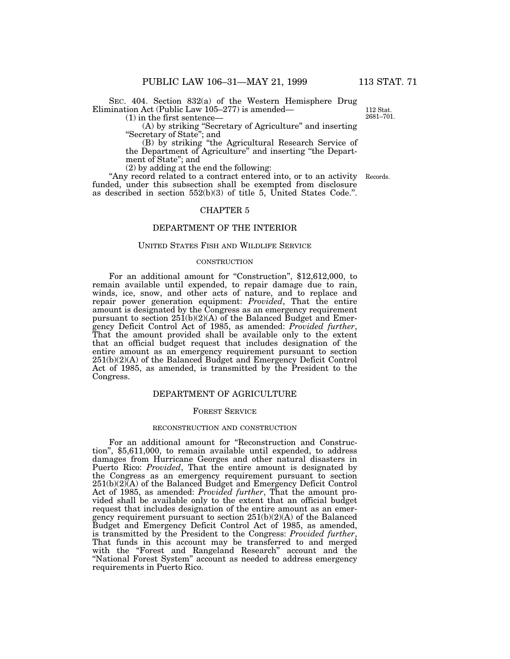SEC. 404. Section 832(a) of the Western Hemisphere Drug Elimination Act (Public Law 105–277) is amended—

(1) in the first sentence—

(A) by striking ''Secretary of Agriculture'' and inserting ''Secretary of State''; and

(B) by striking ''the Agricultural Research Service of the Department of Agriculture'' and inserting ''the Department of State''; and

(2) by adding at the end the following:

"Any record related to a contract entered into, or to an activity Records. funded, under this subsection shall be exempted from disclosure as described in section 552(b)(3) of title 5, United States Code.''.

# CHAPTER 5

# DEPARTMENT OF THE INTERIOR

## UNITED STATES FISH AND WILDLIFE SERVICE

# **CONSTRUCTION**

For an additional amount for "Construction", \$12,612,000, to remain available until expended, to repair damage due to rain, winds, ice, snow, and other acts of nature, and to replace and repair power generation equipment: *Provided*, That the entire amount is designated by the Congress as an emergency requirement pursuant to section  $251(b)(2)(A)$  of the Balanced Budget and Emergency Deficit Control Act of 1985, as amended: *Provided further*, That the amount provided shall be available only to the extent that an official budget request that includes designation of the entire amount as an emergency requirement pursuant to section 251(b)(2)(A) of the Balanced Budget and Emergency Deficit Control Act of 1985, as amended, is transmitted by the President to the Congress.

# DEPARTMENT OF AGRICULTURE

## FOREST SERVICE

#### RECONSTRUCTION AND CONSTRUCTION

For an additional amount for ''Reconstruction and Construction'', \$5,611,000, to remain available until expended, to address damages from Hurricane Georges and other natural disasters in Puerto Rico: *Provided*, That the entire amount is designated by the Congress as an emergency requirement pursuant to section 251(b)(2)(A) of the Balanced Budget and Emergency Deficit Control Act of 1985, as amended: *Provided further*, That the amount provided shall be available only to the extent that an official budget request that includes designation of the entire amount as an emergency requirement pursuant to section 251(b)(2)(A) of the Balanced Budget and Emergency Deficit Control Act of 1985, as amended, is transmitted by the President to the Congress: *Provided further*, That funds in this account may be transferred to and merged with the ''Forest and Rangeland Research'' account and the "National Forest System" account as needed to address emergency requirements in Puerto Rico.

112 Stat. 2681–701.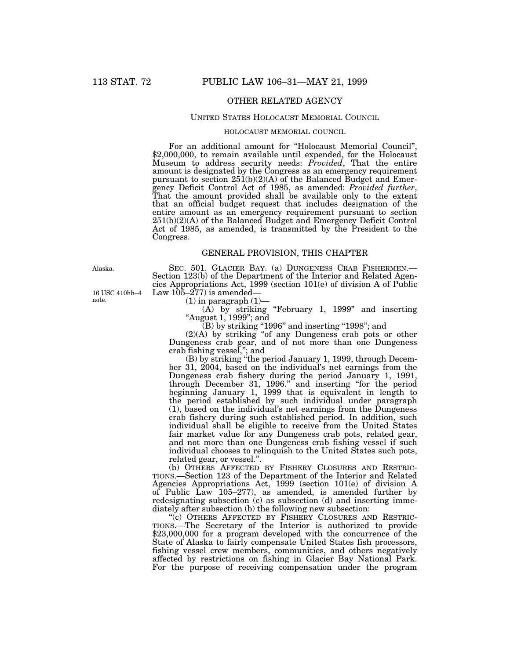# OTHER RELATED AGENCY

## UNITED STATES HOLOCAUST MEMORIAL COUNCIL

## HOLOCAUST MEMORIAL COUNCIL

For an additional amount for ''Holocaust Memorial Council'', \$2,000,000, to remain available until expended, for the Holocaust Museum to address security needs: *Provided*, That the entire amount is designated by the Congress as an emergency requirement pursuant to section 251(b)(2)(A) of the Balanced Budget and Emergency Deficit Control Act of 1985, as amended: *Provided further*, That the amount provided shall be available only to the extent that an official budget request that includes designation of the entire amount as an emergency requirement pursuant to section 251(b)(2)(A) of the Balanced Budget and Emergency Deficit Control Act of 1985, as amended, is transmitted by the President to the Congress.

## GENERAL PROVISION, THIS CHAPTER

Alaska.

16 USC 410hh–4 note.

SEC. 501. GLACIER BAY. (a) DUNGENESS CRAB FISHERMEN.—<br>Section 123(b) of the Department of the Interior and Related Agencies Appropriations Act, 1999 (section 101(e) of division A of Public Law  $105-277$ ) is amended—

 $(1)$  in paragraph  $(1)$ —

 $(A)$  by striking "February 1, 1999" and inserting ''August 1, 1999''; and

 $\left( \mathrm{B}\right)$  by striking "1996" and inserting "1998"; and

(2)(A) by striking ''of any Dungeness crab pots or other Dungeness crab gear, and of not more than one Dungeness crab fishing vessel,''; and

(B) by striking ''the period January 1, 1999, through December 31, 2004, based on the individual's net earnings from the Dungeness crab fishery during the period January 1, 1991, through December 31, 1996.'' and inserting ''for the period beginning January 1, 1999 that is equivalent in length to the period established by such individual under paragraph (1), based on the individual's net earnings from the Dungeness crab fishery during such established period. In addition, such individual shall be eligible to receive from the United States fair market value for any Dungeness crab pots, related gear, and not more than one Dungeness crab fishing vessel if such individual chooses to relinquish to the United States such pots, related gear, or vessel.''.

(b) OTHERS AFFECTED BY FISHERY CLOSURES AND RESTRIC-TIONS.—Section 123 of the Department of the Interior and Related Agencies Appropriations Act, 1999 (section 101(e) of division A of Public Law 105–277), as amended, is amended further by redesignating subsection (c) as subsection (d) and inserting immediately after subsection (b) the following new subsection:

''(c) OTHERS AFFECTED BY FISHERY CLOSURES AND RESTRIC-TIONS.—The Secretary of the Interior is authorized to provide \$23,000,000 for a program developed with the concurrence of the State of Alaska to fairly compensate United States fish processors, fishing vessel crew members, communities, and others negatively affected by restrictions on fishing in Glacier Bay National Park. For the purpose of receiving compensation under the program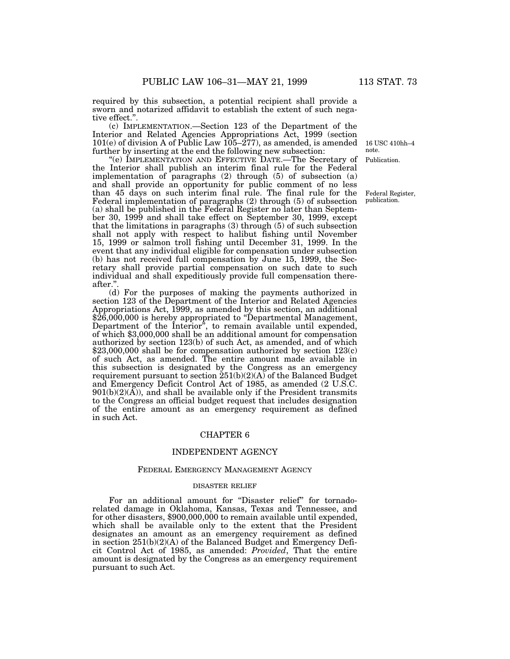required by this subsection, a potential recipient shall provide a sworn and notarized affidavit to establish the extent of such negative effect."

(c) IMPLEMENTATION.—Section 123 of the Department of the Interior and Related Agencies Appropriations Act, 1999 (section 101(e) of division A of Public Law  $105-277$ , as amended, is amended further by inserting at the end the following new subsection:

''(e) IMPLEMENTATION AND EFFECTIVE DATE.—The Secretary of the Interior shall publish an interim final rule for the Federal implementation of paragraphs (2) through (5) of subsection (a) and shall provide an opportunity for public comment of no less than 45 days on such interim final rule. The final rule for the Federal implementation of paragraphs (2) through (5) of subsection (a) shall be published in the Federal Register no later than September 30, 1999 and shall take effect on September 30, 1999, except that the limitations in paragraphs (3) through (5) of such subsection shall not apply with respect to halibut fishing until November 15, 1999 or salmon troll fishing until December 31, 1999. In the event that any individual eligible for compensation under subsection (b) has not received full compensation by June 15, 1999, the Secretary shall provide partial compensation on such date to such individual and shall expeditiously provide full compensation thereafter."

(d) For the purposes of making the payments authorized in section 123 of the Department of the Interior and Related Agencies Appropriations Act, 1999, as amended by this section, an additional \$26,000,000 is hereby appropriated to "Departmental Management, Department of the Interior", to remain available until expended, of which \$3,000,000 shall be an additional amount for compensation authorized by section 123(b) of such Act, as amended, and of which  $$23,000,000$  shall be for compensation authorized by section  $123(c)$ of such Act, as amended. The entire amount made available in this subsection is designated by the Congress as an emergency requirement pursuant to section  $251(b)(2)(A)$  of the Balanced Budget and Emergency Deficit Control Act of 1985, as amended (2 U.S.C.  $901(b)(2)(\overline{A})$ , and shall be available only if the President transmits to the Congress an official budget request that includes designation of the entire amount as an emergency requirement as defined in such Act.

#### CHAPTER 6

## INDEPENDENT AGENCY

#### FEDERAL EMERGENCY MANAGEMENT AGENCY

## DISASTER RELIEF

For an additional amount for "Disaster relief" for tornadorelated damage in Oklahoma, Kansas, Texas and Tennessee, and for other disasters, \$900,000,000 to remain available until expended, which shall be available only to the extent that the President designates an amount as an emergency requirement as defined in section  $251(b)(2)(A)$  of the Balanced Budget and Emergency Deficit Control Act of 1985, as amended: *Provided*, That the entire amount is designated by the Congress as an emergency requirement pursuant to such Act.

Publication. 16 USC 410hh–4 note.

Federal Register,

publication.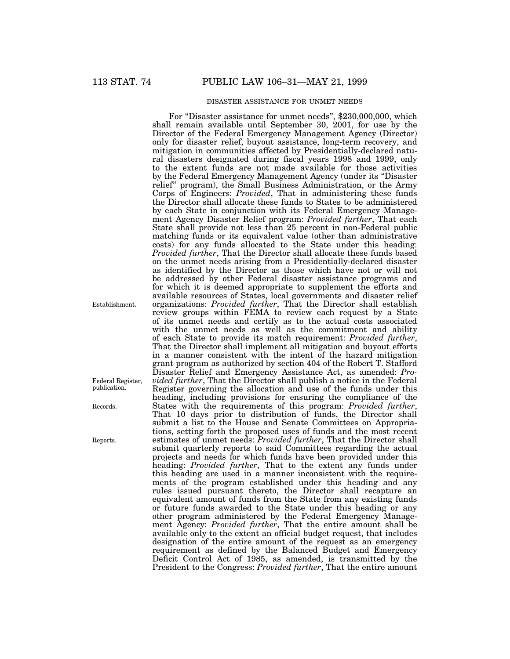## DISASTER ASSISTANCE FOR UNMET NEEDS

For "Disaster assistance for unmet needs", \$230,000,000, which shall remain available until September 30, 2001, for use by the Director of the Federal Emergency Management Agency (Director) only for disaster relief, buyout assistance, long-term recovery, and mitigation in communities affected by Presidentially-declared natural disasters designated during fiscal years 1998 and 1999, only to the extent funds are not made available for those activities by the Federal Emergency Management Agency (under its ''Disaster relief'' program), the Small Business Administration, or the Army Corps of Engineers: *Provided*, That in administering these funds the Director shall allocate these funds to States to be administered by each State in conjunction with its Federal Emergency Management Agency Disaster Relief program: *Provided further*, That each State shall provide not less than 25 percent in non-Federal public matching funds or its equivalent value (other than administrative costs) for any funds allocated to the State under this heading: *Provided further*, That the Director shall allocate these funds based on the unmet needs arising from a Presidentially-declared disaster as identified by the Director as those which have not or will not be addressed by other Federal disaster assistance programs and for which it is deemed appropriate to supplement the efforts and available resources of States, local governments and disaster relief organizations: *Provided further*, That the Director shall establish review groups within FEMA to review each request by a State of its unmet needs and certify as to the actual costs associated with the unmet needs as well as the commitment and ability of each State to provide its match requirement: *Provided further*, That the Director shall implement all mitigation and buyout efforts in a manner consistent with the intent of the hazard mitigation grant program as authorized by section 404 of the Robert T. Stafford Disaster Relief and Emergency Assistance Act, as amended: *Provided further*, That the Director shall publish a notice in the Federal Register governing the allocation and use of the funds under this heading, including provisions for ensuring the compliance of the States with the requirements of this program: *Provided further*, That 10 days prior to distribution of funds, the Director shall submit a list to the House and Senate Committees on Appropriations, setting forth the proposed uses of funds and the most recent estimates of unmet needs: *Provided further*, That the Director shall submit quarterly reports to said Committees regarding the actual projects and needs for which funds have been provided under this heading: *Provided further*, That to the extent any funds under this heading are used in a manner inconsistent with the requirements of the program established under this heading and any rules issued pursuant thereto, the Director shall recapture an equivalent amount of funds from the State from any existing funds or future funds awarded to the State under this heading or any other program administered by the Federal Emergency Management Agency: *Provided further*, That the entire amount shall be available only to the extent an official budget request, that includes designation of the entire amount of the request as an emergency requirement as defined by the Balanced Budget and Emergency Deficit Control Act of 1985, as amended, is transmitted by the President to the Congress: *Provided further*, That the entire amount

Establishment.

Records.

Federal Register, publication.

Reports.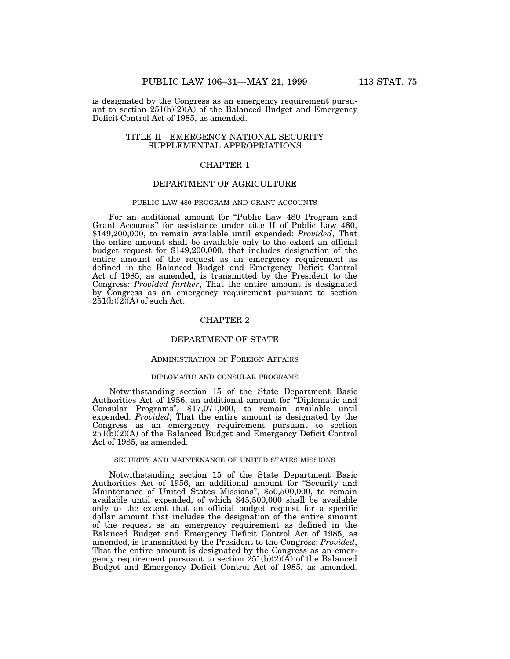is designated by the Congress as an emergency requirement pursuant to section  $251(b)(2)(\overrightarrow{A})$  of the Balanced Budget and Emergency Deficit Control Act of 1985, as amended.

# TITLE II—EMERGENCY NATIONAL SECURITY SUPPLEMENTAL APPROPRIATIONS

# CHAPTER 1

# DEPARTMENT OF AGRICULTURE

## PUBLIC LAW 480 PROGRAM AND GRANT ACCOUNTS

For an additional amount for ''Public Law 480 Program and Grant Accounts'' for assistance under title II of Public Law 480, \$149,200,000, to remain available until expended: *Provided*, That the entire amount shall be available only to the extent an official budget request for \$149,200,000, that includes designation of the entire amount of the request as an emergency requirement as defined in the Balanced Budget and Emergency Deficit Control Act of 1985, as amended, is transmitted by the President to the Congress: *Provided further*, That the entire amount is designated by Congress as an emergency requirement pursuant to section  $251(b)(2)(A)$  of such Act.

# CHAPTER 2

# DEPARTMENT OF STATE

## ADMINISTRATION OF FOREIGN AFFAIRS

#### DIPLOMATIC AND CONSULAR PROGRAMS

Notwithstanding section 15 of the State Department Basic Authorities Act of 1956, an additional amount for ''Diplomatic and Consular Programs'', \$17,071,000, to remain available until expended: *Provided*, That the entire amount is designated by the Congress as an emergency requirement pursuant to section 251(b)(2)(A) of the Balanced Budget and Emergency Deficit Control Act of 1985, as amended.

### SECURITY AND MAINTENANCE OF UNITED STATES MISSIONS

Notwithstanding section 15 of the State Department Basic Authorities Act of 1956, an additional amount for ''Security and Maintenance of United States Missions'', \$50,500,000, to remain available until expended, of which \$45,500,000 shall be available only to the extent that an official budget request for a specific dollar amount that includes the designation of the entire amount of the request as an emergency requirement as defined in the Balanced Budget and Emergency Deficit Control Act of 1985, as amended, is transmitted by the President to the Congress: *Provided*, That the entire amount is designated by the Congress as an emergency requirement pursuant to section  $251(b)(2)(\overrightarrow{A})$  of the Balanced Budget and Emergency Deficit Control Act of 1985, as amended.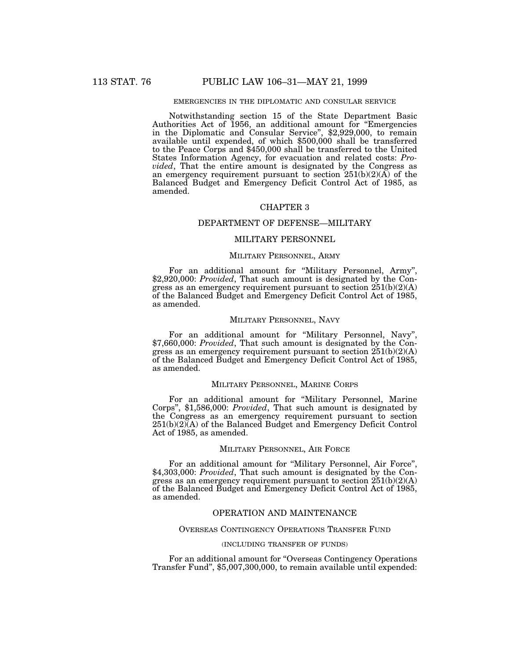# EMERGENCIES IN THE DIPLOMATIC AND CONSULAR SERVICE

Notwithstanding section 15 of the State Department Basic Authorities Act of 1956, an additional amount for ''Emergencies in the Diplomatic and Consular Service'', \$2,929,000, to remain available until expended, of which \$500,000 shall be transferred to the Peace Corps and \$450,000 shall be transferred to the United States Information Agency, for evacuation and related costs: *Provided*, That the entire amount is designated by the Congress as an emergency requirement pursuant to section  $251(b)(2)(A)$  of the Balanced Budget and Emergency Deficit Control Act of 1985, as amended.

# CHAPTER 3

## DEPARTMENT OF DEFENSE—MILITARY

# MILITARY PERSONNEL

# MILITARY PERSONNEL, ARMY

For an additional amount for ''Military Personnel, Army'', \$2,920,000: *Provided*, That such amount is designated by the Congress as an emergency requirement pursuant to section  $251(b)(2)(A)$ of the Balanced Budget and Emergency Deficit Control Act of 1985, as amended.

## MILITARY PERSONNEL, NAVY

For an additional amount for ''Military Personnel, Navy'', \$7,660,000: *Provided*, That such amount is designated by the Congress as an emergency requirement pursuant to section 251(b)(2)(A) of the Balanced Budget and Emergency Deficit Control Act of 1985, as amended.

## MILITARY PERSONNEL, MARINE CORPS

For an additional amount for ''Military Personnel, Marine Corps'', \$1,586,000: *Provided*, That such amount is designated by the Congress as an emergency requirement pursuant to section 251(b)(2)(A) of the Balanced Budget and Emergency Deficit Control Act of 1985, as amended.

# MILITARY PERSONNEL, AIR FORCE

For an additional amount for ''Military Personnel, Air Force'', \$4,303,000: *Provided*, That such amount is designated by the Congress as an emergency requirement pursuant to section  $251(b)(2)(A)$ of the Balanced Budget and Emergency Deficit Control Act of 1985, as amended.

# OPERATION AND MAINTENANCE

### OVERSEAS CONTINGENCY OPERATIONS TRANSFER FUND

## (INCLUDING TRANSFER OF FUNDS)

For an additional amount for "Overseas Contingency Operations" Transfer Fund'', \$5,007,300,000, to remain available until expended: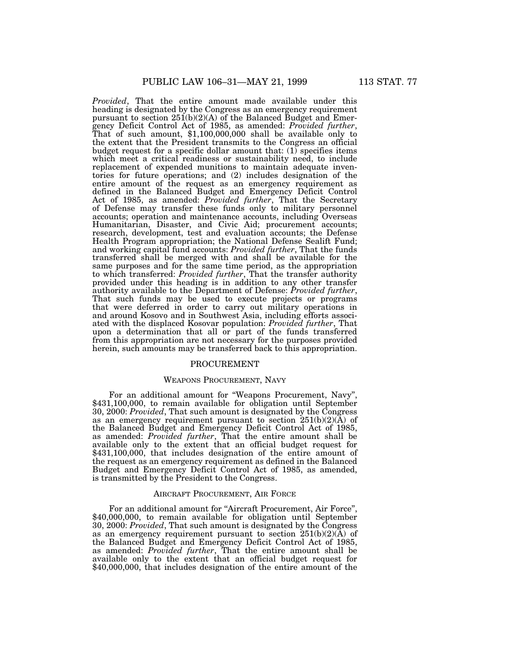*Provided*, That the entire amount made available under this heading is designated by the Congress as an emergency requirement pursuant to section  $25I(b)(2)(A)$  of the Balanced Budget and Emergency Deficit Control Act of 1985, as amended: *Provided further*, That of such amount, \$1,100,000,000 shall be available only to the extent that the President transmits to the Congress an official budget request for a specific dollar amount that:  $(1)$  specifies items which meet a critical readiness or sustainability need, to include replacement of expended munitions to maintain adequate inventories for future operations; and (2) includes designation of the entire amount of the request as an emergency requirement as defined in the Balanced Budget and Emergency Deficit Control Act of 1985, as amended: *Provided further*, That the Secretary of Defense may transfer these funds only to military personnel accounts; operation and maintenance accounts, including Overseas Humanitarian, Disaster, and Civic Aid; procurement accounts; research, development, test and evaluation accounts; the Defense Health Program appropriation; the National Defense Sealift Fund; and working capital fund accounts: *Provided further*, That the funds transferred shall be merged with and shall be available for the same purposes and for the same time period, as the appropriation to which transferred: *Provided further*, That the transfer authority provided under this heading is in addition to any other transfer authority available to the Department of Defense: *Provided further*, That such funds may be used to execute projects or programs that were deferred in order to carry out military operations in and around Kosovo and in Southwest Asia, including efforts associated with the displaced Kosovar population: *Provided further*, That upon a determination that all or part of the funds transferred from this appropriation are not necessary for the purposes provided herein, such amounts may be transferred back to this appropriation.

## PROCUREMENT

## WEAPONS PROCUREMENT, NAVY

For an additional amount for ''Weapons Procurement, Navy'', \$431,100,000, to remain available for obligation until September 30, 2000: *Provided*, That such amount is designated by the Congress as an emergency requirement pursuant to section  $251(b)(2)(\overline{A})$  of the Balanced Budget and Emergency Deficit Control Act of 1985, as amended: *Provided further*, That the entire amount shall be available only to the extent that an official budget request for \$431,100,000, that includes designation of the entire amount of the request as an emergency requirement as defined in the Balanced Budget and Emergency Deficit Control Act of 1985, as amended, is transmitted by the President to the Congress.

## AIRCRAFT PROCUREMENT, AIR FORCE

For an additional amount for "Aircraft Procurement, Air Force" \$40,000,000, to remain available for obligation until September 30, 2000: *Provided*, That such amount is designated by the Congress as an emergency requirement pursuant to section  $251(b)(2)(\overline{A})$  of the Balanced Budget and Emergency Deficit Control Act of 1985, as amended: *Provided further*, That the entire amount shall be available only to the extent that an official budget request for \$40,000,000, that includes designation of the entire amount of the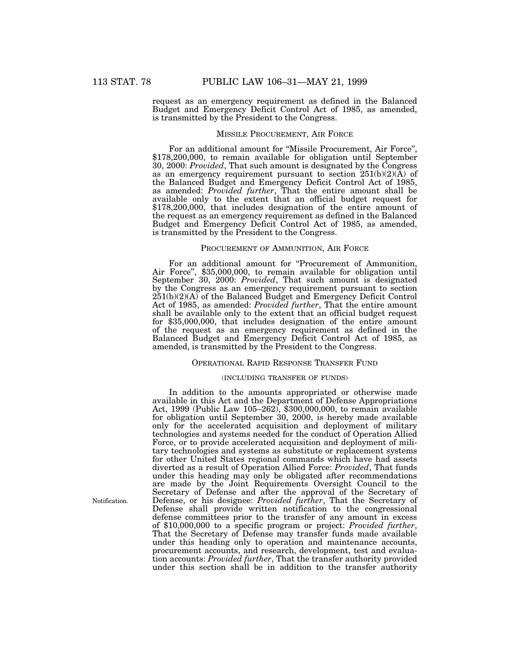request as an emergency requirement as defined in the Balanced Budget and Emergency Deficit Control Act of 1985, as amended, is transmitted by the President to the Congress.

## MISSILE PROCUREMENT, AIR FORCE

For an additional amount for ''Missile Procurement, Air Force'', \$178,200,000, to remain available for obligation until September 30, 2000: *Provided*, That such amount is designated by the Congress as an emergency requirement pursuant to section  $251(b)(2)(\overline{A})$  of the Balanced Budget and Emergency Deficit Control Act of 1985, as amended: *Provided further*, That the entire amount shall be available only to the extent that an official budget request for \$178,200,000, that includes designation of the entire amount of the request as an emergency requirement as defined in the Balanced Budget and Emergency Deficit Control Act of 1985, as amended, is transmitted by the President to the Congress.

## PROCUREMENT OF AMMUNITION, AIR FORCE

For an additional amount for ''Procurement of Ammunition, Air Force'', \$35,000,000, to remain available for obligation until September 30, 2000: *Provided*, That such amount is designated by the Congress as an emergency requirement pursuant to section 251(b)(2)(A) of the Balanced Budget and Emergency Deficit Control Act of 1985, as amended: *Provided further*, That the entire amount shall be available only to the extent that an official budget request for \$35,000,000, that includes designation of the entire amount of the request as an emergency requirement as defined in the Balanced Budget and Emergency Deficit Control Act of 1985, as amended, is transmitted by the President to the Congress.

#### OPERATIONAL RAPID RESPONSE TRANSFER FUND

### (INCLUDING TRANSFER OF FUNDS)

In addition to the amounts appropriated or otherwise made available in this Act and the Department of Defense Appropriations Act, 1999 (Public Law 105–262), \$300,000,000, to remain available for obligation until September 30, 2000, is hereby made available only for the accelerated acquisition and deployment of military technologies and systems needed for the conduct of Operation Allied Force, or to provide accelerated acquisition and deployment of military technologies and systems as substitute or replacement systems for other United States regional commands which have had assets diverted as a result of Operation Allied Force: *Provided*, That funds under this heading may only be obligated after recommendations are made by the Joint Requirements Oversight Council to the Secretary of Defense and after the approval of the Secretary of Defense, or his designee: *Provided further*, That the Secretary of Defense shall provide written notification to the congressional defense committees prior to the transfer of any amount in excess of \$10,000,000 to a specific program or project: *Provided further*, That the Secretary of Defense may transfer funds made available under this heading only to operation and maintenance accounts, procurement accounts, and research, development, test and evaluation accounts: *Provided further*, That the transfer authority provided under this section shall be in addition to the transfer authority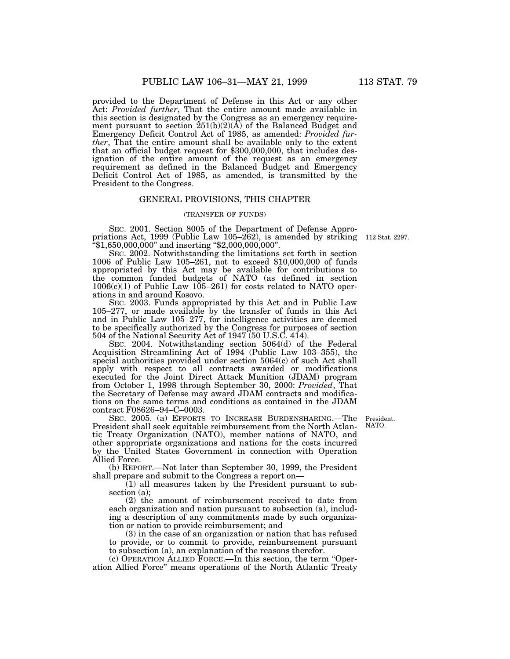provided to the Department of Defense in this Act or any other Act: *Provided further*, That the entire amount made available in this section is designated by the Congress as an emergency requirement pursuant to section 251(b)(2)(A) of the Balanced Budget and Emergency Deficit Control Act of 1985, as amended: *Provided fur*that an official budget request for \$300,000,000, that includes designation of the entire amount of the request as an emergency requirement as defined in the Balanced Budget and Emergency Deficit Control Act of 1985, as amended, is transmitted by the President to the Congress.

#### GENERAL PROVISIONS, THIS CHAPTER

## (TRANSFER OF FUNDS)

SEC. 2001. Section 8005 of the Department of Defense Appropriations Act, 1999 (Public Law 105–262), is amended by striking ''\$1,650,000,000'' and inserting ''\$2,000,000,000''.

SEC. 2002. Notwithstanding the limitations set forth in section 1006 of Public Law 105–261, not to exceed \$10,000,000 of funds appropriated by this Act may be available for contributions to the common funded budgets of NATO (as defined in section  $1006(c)(1)$  of Public Law  $105-261$  for costs related to NATO operations in and around Kosovo.

SEC. 2003. Funds appropriated by this Act and in Public Law 105–277, or made available by the transfer of funds in this Act and in Public Law 105–277, for intelligence activities are deemed to be specifically authorized by the Congress for purposes of section 504 of the National Security Act of 1947 (50 U.S.C. 414).

SEC. 2004. Notwithstanding section 5064(d) of the Federal Acquisition Streamlining Act of 1994 (Public Law 103–355), the special authorities provided under section 5064(c) of such Act shall apply with respect to all contracts awarded or modifications executed for the Joint Direct Attack Munition (JDAM) program from October 1, 1998 through September 30, 2000: *Provided*, That the Secretary of Defense may award JDAM contracts and modifications on the same terms and conditions as contained in the JDAM contract F08626–94–C–0003.

SEC. 2005. (a) EFFORTS TO INCREASE BURDENSHARING.—The President shall seek equitable reimbursement from the North Atlantic Treaty Organization (NATO), member nations of NATO, and other appropriate organizations and nations for the costs incurred by the United States Government in connection with Operation Allied Force.

(b) REPORT.—Not later than September 30, 1999, the President shall prepare and submit to the Congress a report on—

 $(1)$  all measures taken by the President pursuant to subsection (a);

(2) the amount of reimbursement received to date from each organization and nation pursuant to subsection (a), including a description of any commitments made by such organization or nation to provide reimbursement; and

(3) in the case of an organization or nation that has refused to provide, or to commit to provide, reimbursement pursuant to subsection (a), an explanation of the reasons therefor.

(c) OPERATION ALLIED FORCE.—In this section, the term ''Operation Allied Force'' means operations of the North Atlantic Treaty

President. NATO.

112 Stat. 2297.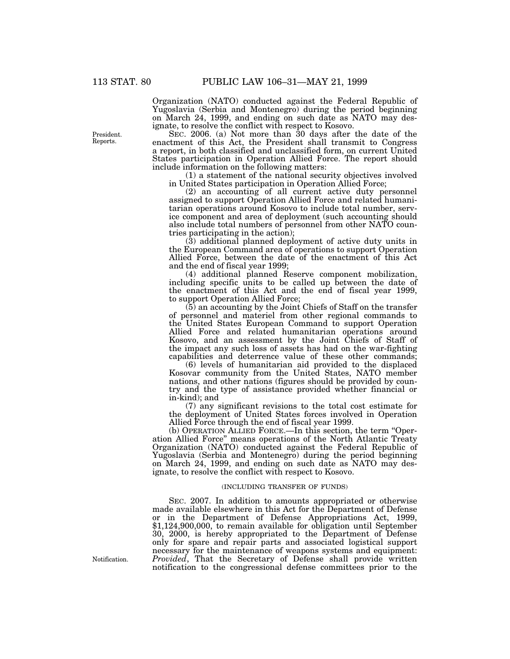Organization (NATO) conducted against the Federal Republic of Yugoslavia (Serbia and Montenegro) during the period beginning on March 24, 1999, and ending on such date as NATO may designate, to resolve the conflict with respect to Kosovo.

SEC. 2006. (a) Not more than 30 days after the date of the enactment of this Act, the President shall transmit to Congress a report, in both classified and unclassified form, on current United States participation in Operation Allied Force. The report should include information on the following matters:

(1) a statement of the national security objectives involved in United States participation in Operation Allied Force;

(2) an accounting of all current active duty personnel assigned to support Operation Allied Force and related humanitarian operations around Kosovo to include total number, service component and area of deployment (such accounting should also include total numbers of personnel from other NATO countries participating in the action);

(3) additional planned deployment of active duty units in the European Command area of operations to support Operation Allied Force, between the date of the enactment of this Act and the end of fiscal year 1999;

(4) additional planned Reserve component mobilization, including specific units to be called up between the date of the enactment of this Act and the end of fiscal year 1999, to support Operation Allied Force;

(5) an accounting by the Joint Chiefs of Staff on the transfer of personnel and materiel from other regional commands to the United States European Command to support Operation Allied Force and related humanitarian operations around Kosovo, and an assessment by the Joint Chiefs of Staff of the impact any such loss of assets has had on the war-fighting capabilities and deterrence value of these other commands;

(6) levels of humanitarian aid provided to the displaced Kosovar community from the United States, NATO member nations, and other nations (figures should be provided by country and the type of assistance provided whether financial or in-kind); and

(7) any significant revisions to the total cost estimate for the deployment of United States forces involved in Operation Allied Force through the end of fiscal year 1999.

(b) OPERATION ALLIED FORCE.—In this section, the term ''Operation Allied Force'' means operations of the North Atlantic Treaty Organization (NATO) conducted against the Federal Republic of Yugoslavia (Serbia and Montenegro) during the period beginning on March 24, 1999, and ending on such date as NATO may designate, to resolve the conflict with respect to Kosovo.

#### (INCLUDING TRANSFER OF FUNDS)

SEC. 2007. In addition to amounts appropriated or otherwise made available elsewhere in this Act for the Department of Defense or in the Department of Defense Appropriations Act, 1999, \$1,124,900,000, to remain available for obligation until September 30, 2000, is hereby appropriated to the Department of Defense only for spare and repair parts and associated logistical support necessary for the maintenance of weapons systems and equipment: *Provided*, That the Secretary of Defense shall provide written notification to the congressional defense committees prior to the

President. Reports.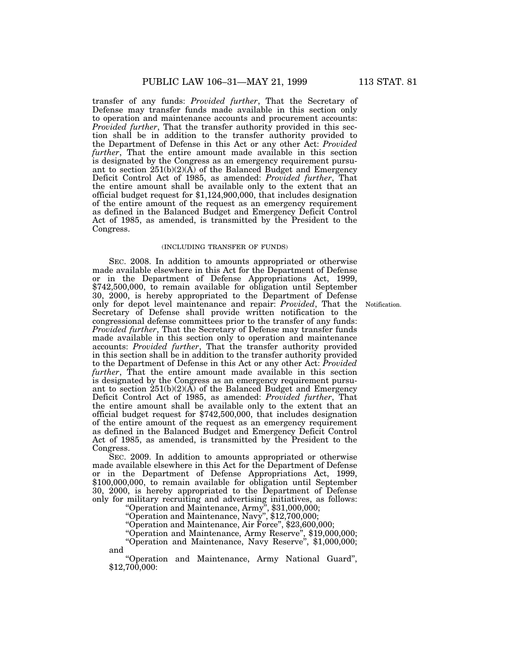transfer of any funds: *Provided further*, That the Secretary of Defense may transfer funds made available in this section only to operation and maintenance accounts and procurement accounts: *Provided further*, That the transfer authority provided in this section shall be in addition to the transfer authority provided to the Department of Defense in this Act or any other Act: *Provided further*, That the entire amount made available in this section is designated by the Congress as an emergency requirement pursuant to section  $251(b)(2)(\overrightarrow{A})$  of the Balanced Budget and Emergency Deficit Control Act of 1985, as amended: *Provided further*, That the entire amount shall be available only to the extent that an official budget request for \$1,124,900,000, that includes designation of the entire amount of the request as an emergency requirement as defined in the Balanced Budget and Emergency Deficit Control Act of 1985, as amended, is transmitted by the President to the Congress.

#### (INCLUDING TRANSFER OF FUNDS)

SEC. 2008. In addition to amounts appropriated or otherwise made available elsewhere in this Act for the Department of Defense or in the Department of Defense Appropriations Act, 1999, \$742,500,000, to remain available for obligation until September 30, 2000, is hereby appropriated to the Department of Defense only for depot level maintenance and repair: *Provided*, That the Secretary of Defense shall provide written notification to the congressional defense committees prior to the transfer of any funds: *Provided further*, That the Secretary of Defense may transfer funds made available in this section only to operation and maintenance accounts: *Provided further*, That the transfer authority provided in this section shall be in addition to the transfer authority provided to the Department of Defense in this Act or any other Act: *Provided further*, That the entire amount made available in this section is designated by the Congress as an emergency requirement pursuant to section  $251(b)(2)(\overline{A})$  of the Balanced Budget and Emergency Deficit Control Act of 1985, as amended: *Provided further*, That the entire amount shall be available only to the extent that an official budget request for \$742,500,000, that includes designation of the entire amount of the request as an emergency requirement as defined in the Balanced Budget and Emergency Deficit Control Act of 1985, as amended, is transmitted by the President to the Congress.

SEC. 2009. In addition to amounts appropriated or otherwise made available elsewhere in this Act for the Department of Defense or in the Department of Defense Appropriations Act, 1999, \$100,000,000, to remain available for obligation until September 30, 2000, is hereby appropriated to the Department of Defense only for military recruiting and advertising initiatives, as follows:

''Operation and Maintenance, Army'', \$31,000,000;

''Operation and Maintenance, Navy'', \$12,700,000;

''Operation and Maintenance, Air Force'', \$23,600,000;

''Operation and Maintenance, Army Reserve'', \$19,000,000; ''Operation and Maintenance, Navy Reserve'', \$1,000,000;

and

''Operation and Maintenance, Army National Guard'', \$12,700,000: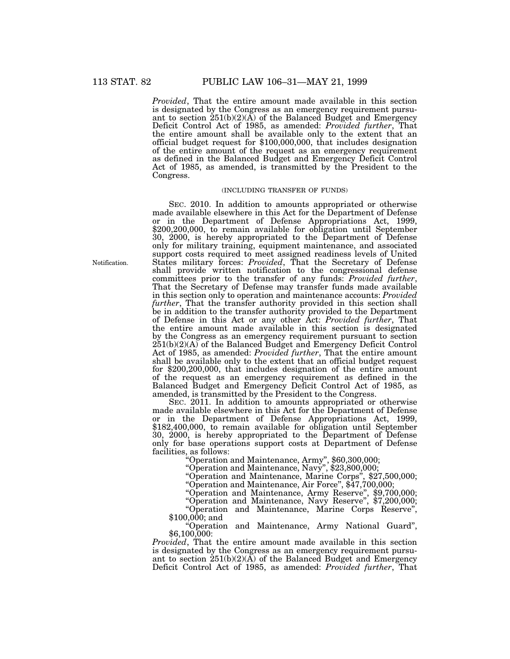*Provided*, That the entire amount made available in this section is designated by the Congress as an emergency requirement pursuant to section 251(b)(2)(A) of the Balanced Budget and Emergency Deficit Control Act of 1985, as amended: *Provided further*, That the entire amount shall be available only to the extent that an official budget request for \$100,000,000, that includes designation of the entire amount of the request as an emergency requirement as defined in the Balanced Budget and Emergency Deficit Control Act of 1985, as amended, is transmitted by the President to the Congress.

## (INCLUDING TRANSFER OF FUNDS)

SEC. 2010. In addition to amounts appropriated or otherwise made available elsewhere in this Act for the Department of Defense or in the Department of Defense Appropriations Act, 1999, \$200,200,000, to remain available for obligation until September 30, 2000, is hereby appropriated to the Department of Defense only for military training, equipment maintenance, and associated support costs required to meet assigned readiness levels of United States military forces: *Provided*, That the Secretary of Defense shall provide written notification to the congressional defense committees prior to the transfer of any funds: *Provided further*, That the Secretary of Defense may transfer funds made available in this section only to operation and maintenance accounts: *Provided further*, That the transfer authority provided in this section shall be in addition to the transfer authority provided to the Department of Defense in this Act or any other Act: *Provided further*, That the entire amount made available in this section is designated by the Congress as an emergency requirement pursuant to section 251(b)(2)(A) of the Balanced Budget and Emergency Deficit Control Act of 1985, as amended: *Provided further*, That the entire amount shall be available only to the extent that an official budget request for \$200,200,000, that includes designation of the entire amount of the request as an emergency requirement as defined in the Balanced Budget and Emergency Deficit Control Act of 1985, as amended, is transmitted by the President to the Congress.

SEC. 2011. In addition to amounts appropriated or otherwise made available elsewhere in this Act for the Department of Defense or in the Department of Defense Appropriations Act, 1999, \$182,400,000, to remain available for obligation until September 30, 2000, is hereby appropriated to the Department of Defense only for base operations support costs at Department of Defense facilities, as follows: ''Operation and Maintenance, Army'', \$60,300,000;

''Operation and Maintenance, Navy'', \$23,800,000;

''Operation and Maintenance, Marine Corps'', \$27,500,000;

''Operation and Maintenance, Air Force'', \$47,700,000;

''Operation and Maintenance, Army Reserve'', \$9,700,000;

''Operation and Maintenance, Navy Reserve'', \$7,200,000;

''Operation and Maintenance, Marine Corps Reserve'', \$100,000; and

''Operation and Maintenance, Army National Guard'', \$6,100,000:

*Provided*, That the entire amount made available in this section is designated by the Congress as an emergency requirement pursuant to section  $251(b)(2)(\overline{A})$  of the Balanced Budget and Emergency Deficit Control Act of 1985, as amended: *Provided further*, That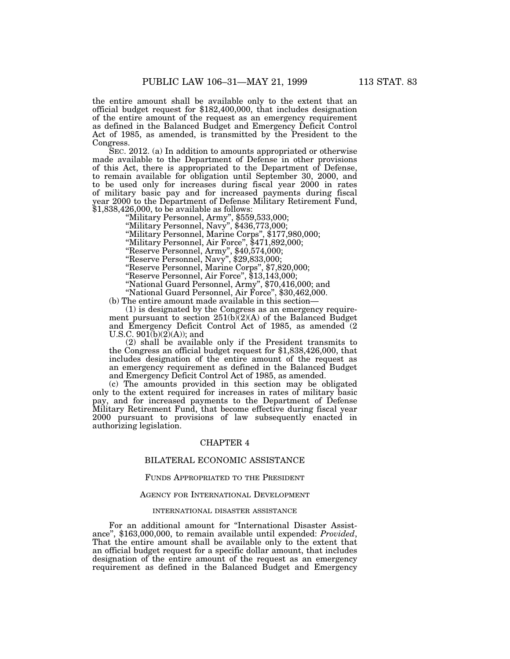the entire amount shall be available only to the extent that an official budget request for \$182,400,000, that includes designation of the entire amount of the request as an emergency requirement as defined in the Balanced Budget and Emergency Deficit Control Act of 1985, as amended, is transmitted by the President to the Congress.

SEC. 2012. (a) In addition to amounts appropriated or otherwise made available to the Department of Defense in other provisions of this Act, there is appropriated to the Department of Defense, to remain available for obligation until September 30, 2000, and to be used only for increases during fiscal year 2000 in rates of military basic pay and for increased payments during fiscal year 2000 to the Department of Defense Military Retirement Fund, \$1,838,426,000, to be available as follows:

''Military Personnel, Army'', \$559,533,000;

''Military Personnel, Navy'', \$436,773,000;

''Military Personnel, Marine Corps'', \$177,980,000;

''Military Personnel, Air Force'', \$471,892,000;

''Reserve Personnel, Army'', \$40,574,000;

''Reserve Personnel, Navy'', \$29,833,000;

''Reserve Personnel, Marine Corps'', \$7,820,000;

''Reserve Personnel, Air Force'', \$13,143,000;

''National Guard Personnel, Army'', \$70,416,000; and

''National Guard Personnel, Air Force'', \$30,462,000.

(b) The entire amount made available in this section—

(1) is designated by the Congress as an emergency requirement pursuant to section  $251(b)(2)(A)$  of the Balanced Budget and Emergency Deficit Control Act of 1985, as amended (2) U.S.C.  $901(b)(2)(A)$ ; and

(2) shall be available only if the President transmits to the Congress an official budget request for \$1,838,426,000, that includes designation of the entire amount of the request as an emergency requirement as defined in the Balanced Budget and Emergency Deficit Control Act of 1985, as amended.

(c) The amounts provided in this section may be obligated only to the extent required for increases in rates of military basic pay, and for increased payments to the Department of Defense Military Retirement Fund, that become effective during fiscal year 2000 pursuant to provisions of law subsequently enacted in authorizing legislation.

## CHAPTER 4

# BILATERAL ECONOMIC ASSISTANCE

## FUNDS APPROPRIATED TO THE PRESIDENT

## AGENCY FOR INTERNATIONAL DEVELOPMENT

#### INTERNATIONAL DISASTER ASSISTANCE

For an additional amount for ''International Disaster Assistance'', \$163,000,000, to remain available until expended: *Provided*, That the entire amount shall be available only to the extent that an official budget request for a specific dollar amount, that includes designation of the entire amount of the request as an emergency requirement as defined in the Balanced Budget and Emergency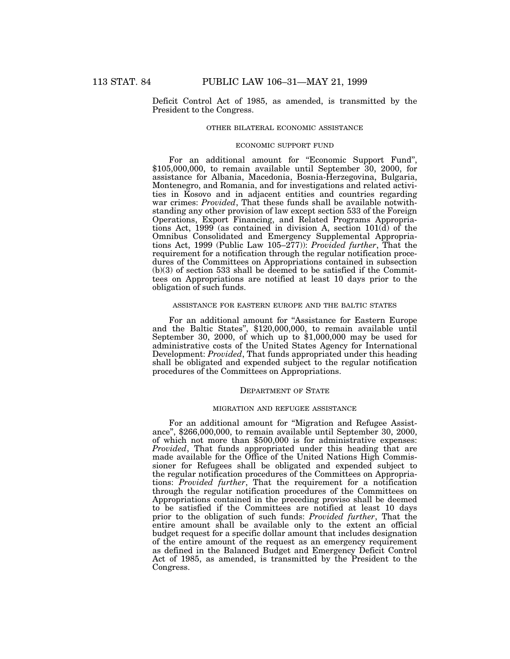Deficit Control Act of 1985, as amended, is transmitted by the President to the Congress.

## OTHER BILATERAL ECONOMIC ASSISTANCE

## ECONOMIC SUPPORT FUND

For an additional amount for "Economic Support Fund", \$105,000,000, to remain available until September 30, 2000, for assistance for Albania, Macedonia, Bosnia-Herzegovina, Bulgaria, Montenegro, and Romania, and for investigations and related activities in Kosovo and in adjacent entities and countries regarding war crimes: *Provided*, That these funds shall be available notwithstanding any other provision of law except section 533 of the Foreign Operations, Export Financing, and Related Programs Appropriations Act, 1999 (as contained in division A, section 101(d) of the Omnibus Consolidated and Emergency Supplemental Appropriations Act, 1999 (Public Law 105–277)): *Provided further*, That the requirement for a notification through the regular notification procedures of the Committees on Appropriations contained in subsection  $(b)(3)$  of section 533 shall be deemed to be satisfied if the Committees on Appropriations are notified at least 10 days prior to the obligation of such funds.

#### ASSISTANCE FOR EASTERN EUROPE AND THE BALTIC STATES

For an additional amount for ''Assistance for Eastern Europe and the Baltic States'', \$120,000,000, to remain available until September 30, 2000, of which up to \$1,000,000 may be used for administrative costs of the United States Agency for International Development: *Provided*, That funds appropriated under this heading shall be obligated and expended subject to the regular notification procedures of the Committees on Appropriations.

#### DEPARTMENT OF STATE

#### MIGRATION AND REFUGEE ASSISTANCE

For an additional amount for ''Migration and Refugee Assistance'', \$266,000,000, to remain available until September 30, 2000, of which not more than \$500,000 is for administrative expenses: *Provided*, That funds appropriated under this heading that are made available for the Office of the United Nations High Commissioner for Refugees shall be obligated and expended subject to the regular notification procedures of the Committees on Appropriations: *Provided further*, That the requirement for a notification through the regular notification procedures of the Committees on Appropriations contained in the preceding proviso shall be deemed to be satisfied if the Committees are notified at least 10 days prior to the obligation of such funds: *Provided further*, That the entire amount shall be available only to the extent an official budget request for a specific dollar amount that includes designation of the entire amount of the request as an emergency requirement as defined in the Balanced Budget and Emergency Deficit Control Act of 1985, as amended, is transmitted by the President to the Congress.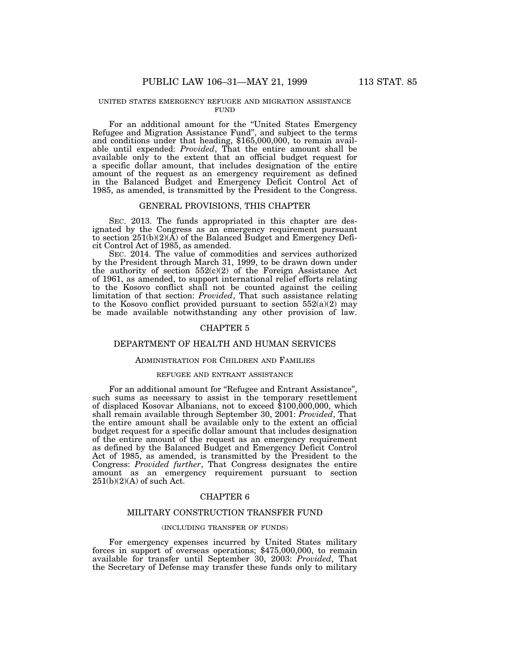#### UNITED STATES EMERGENCY REFUGEE AND MIGRATION ASSISTANCE **FUND**

For an additional amount for the ''United States Emergency Refugee and Migration Assistance Fund'', and subject to the terms and conditions under that heading, \$165,000,000, to remain available until expended: *Provided*, That the entire amount shall be available only to the extent that an official budget request for a specific dollar amount, that includes designation of the entire amount of the request as an emergency requirement as defined in the Balanced Budget and Emergency Deficit Control Act of 1985, as amended, is transmitted by the President to the Congress.

## GENERAL PROVISIONS, THIS CHAPTER

SEC. 2013. The funds appropriated in this chapter are designated by the Congress as an emergency requirement pursuant to section 251(b)(2)(A) of the Balanced Budget and Emergency Deficit Control Act of 1985, as amended.

SEC. 2014. The value of commodities and services authorized by the President through March 31, 1999, to be drawn down under the authority of section  $552(c)(2)$  of the Foreign Assistance Act of 1961, as amended, to support international relief efforts relating to the Kosovo conflict shall not be counted against the ceiling limitation of that section: *Provided*, That such assistance relating to the Kosovo conflict provided pursuant to section  $552(a)(2)$  may be made available notwithstanding any other provision of law.

## CHAPTER 5

## DEPARTMENT OF HEALTH AND HUMAN SERVICES

## ADMINISTRATION FOR CHILDREN AND FAMILIES

#### REFUGEE AND ENTRANT ASSISTANCE

For an additional amount for "Refugee and Entrant Assistance" such sums as necessary to assist in the temporary resettlement of displaced Kosovar Albanians, not to exceed \$100,000,000, which shall remain available through September 30, 2001: *Provided*, That the entire amount shall be available only to the extent an official budget request for a specific dollar amount that includes designation of the entire amount of the request as an emergency requirement as defined by the Balanced Budget and Emergency Deficit Control Act of 1985, as amended, is transmitted by the President to the Congress: *Provided further*, That Congress designates the entire amount as an emergency requirement pursuant to section  $251(b)(2)(A)$  of such Act.

## CHAPTER 6

# MILITARY CONSTRUCTION TRANSFER FUND

## (INCLUDING TRANSFER OF FUNDS)

For emergency expenses incurred by United States military forces in support of overseas operations; \$475,000,000, to remain available for transfer until September 30, 2003: *Provided*, That the Secretary of Defense may transfer these funds only to military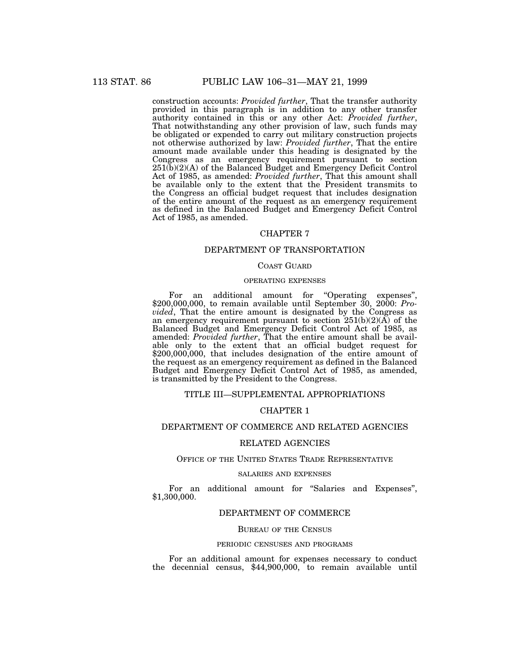construction accounts: *Provided further*, That the transfer authority provided in this paragraph is in addition to any other transfer authority contained in this or any other Act: *Provided further*, That notwithstanding any other provision of law, such funds may be obligated or expended to carry out military construction projects not otherwise authorized by law: *Provided further*, That the entire amount made available under this heading is designated by the Congress as an emergency requirement pursuant to section 251(b)(2)(A) of the Balanced Budget and Emergency Deficit Control Act of 1985, as amended: *Provided further*, That this amount shall be available only to the extent that the President transmits to the Congress an official budget request that includes designation of the entire amount of the request as an emergency requirement as defined in the Balanced Budget and Emergency Deficit Control Act of 1985, as amended.

# CHAPTER 7

# DEPARTMENT OF TRANSPORTATION

# COAST GUARD

### OPERATING EXPENSES

For an additional amount for "Operating expenses", \$200,000,000, to remain available until September 30, 2000: *Provided*, That the entire amount is designated by the Congress as an emergency requirement pursuant to section  $251(b)(2)(\overline{A})$  of the Balanced Budget and Emergency Deficit Control Act of 1985, as amended: *Provided further*, That the entire amount shall be available only to the extent that an official budget request for \$200,000,000, that includes designation of the entire amount of the request as an emergency requirement as defined in the Balanced Budget and Emergency Deficit Control Act of 1985, as amended, is transmitted by the President to the Congress.

# TITLE III—SUPPLEMENTAL APPROPRIATIONS

## CHAPTER 1

# DEPARTMENT OF COMMERCE AND RELATED AGENCIES

## RELATED AGENCIES

# OFFICE OF THE UNITED STATES TRADE REPRESENTATIVE

#### SALARIES AND EXPENSES

For an additional amount for "Salaries and Expenses", \$1,300,000.

# DEPARTMENT OF COMMERCE

## BUREAU OF THE CENSUS

#### PERIODIC CENSUSES AND PROGRAMS

For an additional amount for expenses necessary to conduct the decennial census, \$44,900,000, to remain available until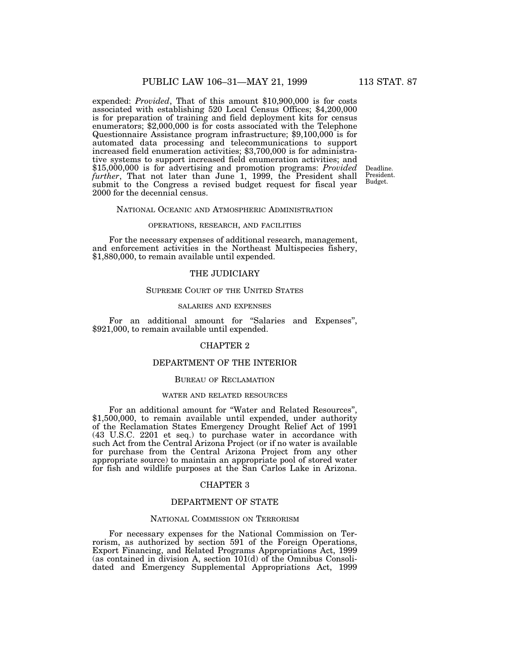expended: *Provided*, That of this amount \$10,900,000 is for costs associated with establishing 520 Local Census Offices; \$4,200,000 is for preparation of training and field deployment kits for census enumerators; \$2,000,000 is for costs associated with the Telephone Questionnaire Assistance program infrastructure; \$9,100,000 is for automated data processing and telecommunications to support increased field enumeration activities; \$3,700,000 is for administrative systems to support increased field enumeration activities; and \$15,000,000 is for advertising and promotion programs: *Provided further*, That not later than June 1, 1999, the President shall submit to the Congress a revised budget request for fiscal year 2000 for the decennial census.

Deadline. President. Budget.

#### NATIONAL OCEANIC AND ATMOSPHERIC ADMINISTRATION

## OPERATIONS, RESEARCH, AND FACILITIES

For the necessary expenses of additional research, management, and enforcement activities in the Northeast Multispecies fishery, \$1,880,000, to remain available until expended.

## THE JUDICIARY

### SUPREME COURT OF THE UNITED STATES

## SALARIES AND EXPENSES

For an additional amount for "Salaries and Expenses", \$921,000, to remain available until expended.

## CHAPTER 2

# DEPARTMENT OF THE INTERIOR

## BUREAU OF RECLAMATION

#### WATER AND RELATED RESOURCES

For an additional amount for ''Water and Related Resources'', \$1,500,000, to remain available until expended, under authority of the Reclamation States Emergency Drought Relief Act of 1991 (43 U.S.C. 2201 et seq.) to purchase water in accordance with such Act from the Central Arizona Project (or if no water is available for purchase from the Central Arizona Project from any other appropriate source) to maintain an appropriate pool of stored water for fish and wildlife purposes at the San Carlos Lake in Arizona.

## CHAPTER 3

### DEPARTMENT OF STATE

## NATIONAL COMMISSION ON TERRORISM

For necessary expenses for the National Commission on Terrorism, as authorized by section 591 of the Foreign Operations, Export Financing, and Related Programs Appropriations Act, 1999 (as contained in division A, section 101(d) of the Omnibus Consolidated and Emergency Supplemental Appropriations Act, 1999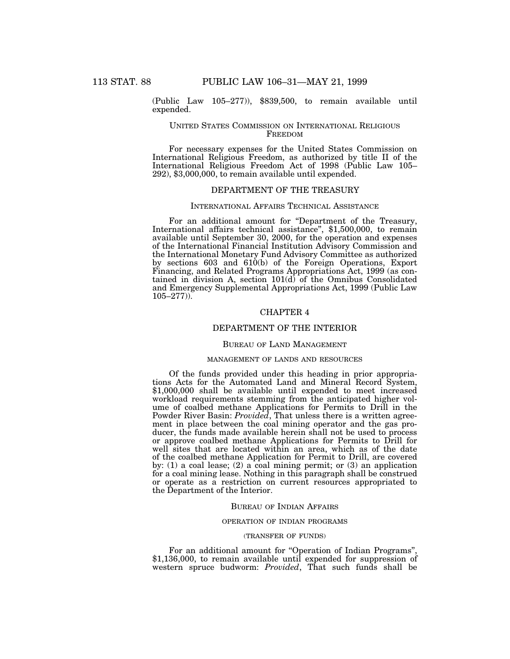(Public Law 105–277)), \$839,500, to remain available until expended.

## UNITED STATES COMMISSION ON INTERNATIONAL RELIGIOUS FREEDOM

For necessary expenses for the United States Commission on International Religious Freedom, as authorized by title II of the International Religious Freedom Act of 1998 (Public Law 105– 292), \$3,000,000, to remain available until expended.

# DEPARTMENT OF THE TREASURY

## INTERNATIONAL AFFAIRS TECHNICAL ASSISTANCE

For an additional amount for ''Department of the Treasury, International affairs technical assistance'', \$1,500,000, to remain available until September 30, 2000, for the operation and expenses of the International Financial Institution Advisory Commission and the International Monetary Fund Advisory Committee as authorized by sections 603 and 610(b) of the Foreign Operations, Export Financing, and Related Programs Appropriations Act, 1999 (as contained in division A, section 101(d) of the Omnibus Consolidated and Emergency Supplemental Appropriations Act, 1999 (Public Law  $105 - 277$ )).

## CHAPTER 4

## DEPARTMENT OF THE INTERIOR

#### BUREAU OF LAND MANAGEMENT

#### MANAGEMENT OF LANDS AND RESOURCES

Of the funds provided under this heading in prior appropriations Acts for the Automated Land and Mineral Record System, \$1,000,000 shall be available until expended to meet increased workload requirements stemming from the anticipated higher volume of coalbed methane Applications for Permits to Drill in the Powder River Basin: *Provided*, That unless there is a written agreement in place between the coal mining operator and the gas producer, the funds made available herein shall not be used to process or approve coalbed methane Applications for Permits to Drill for well sites that are located within an area, which as of the date of the coalbed methane Application for Permit to Drill, are covered by: (1) a coal lease; (2) a coal mining permit; or (3) an application for a coal mining lease. Nothing in this paragraph shall be construed or operate as a restriction on current resources appropriated to the Department of the Interior.

#### BUREAU OF INDIAN AFFAIRS

### OPERATION OF INDIAN PROGRAMS

## (TRANSFER OF FUNDS)

For an additional amount for "Operation of Indian Programs", \$1,136,000, to remain available until expended for suppression of western spruce budworm: *Provided*, That such funds shall be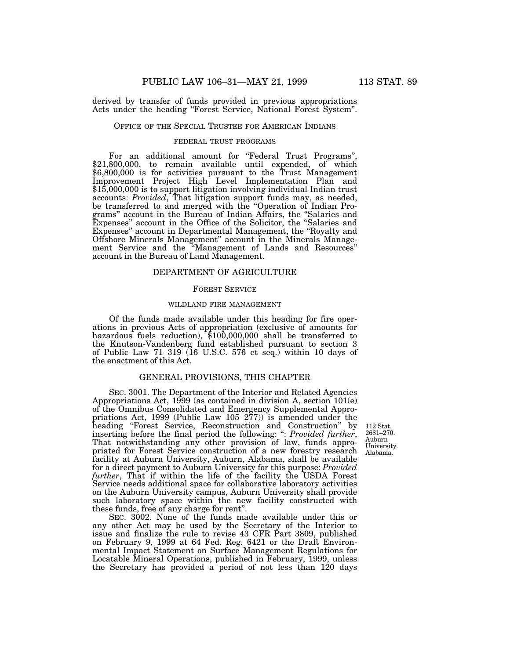derived by transfer of funds provided in previous appropriations Acts under the heading ''Forest Service, National Forest System''.

## OFFICE OF THE SPECIAL TRUSTEE FOR AMERICAN INDIANS

# FEDERAL TRUST PROGRAMS

For an additional amount for "Federal Trust Programs", \$21,800,000, to remain available until expended, of which \$6,800,000 is for activities pursuant to the Trust Management Improvement Project High Level Implementation Plan and \$15,000,000 is to support litigation involving individual Indian trust accounts: *Provided*, That litigation support funds may, as needed, be transferred to and merged with the ''Operation of Indian Programs'' account in the Bureau of Indian Affairs, the ''Salaries and Expenses'' account in the Office of the Solicitor, the ''Salaries and Expenses'' account in Departmental Management, the ''Royalty and Offshore Minerals Management'' account in the Minerals Management Service and the ''Management of Lands and Resources'' account in the Bureau of Land Management.

#### DEPARTMENT OF AGRICULTURE

## FOREST SERVICE

#### WILDLAND FIRE MANAGEMENT

Of the funds made available under this heading for fire operations in previous Acts of appropriation (exclusive of amounts for hazardous fuels reduction), \$100,000,000 shall be transferred to the Knutson-Vandenberg fund established pursuant to section 3 of Public Law 71–319 (16 U.S.C. 576 et seq.) within 10 days of the enactment of this Act.

## GENERAL PROVISIONS, THIS CHAPTER

SEC. 3001. The Department of the Interior and Related Agencies Appropriations Act, 1999 (as contained in division A, section 101(e) of the Omnibus Consolidated and Emergency Supplemental Appropriations Act, 1999 (Public Law 105–277)) is amended under the heading ''Forest Service, Reconstruction and Construction'' by inserting before the final period the following: '': *Provided further*, That notwithstanding any other provision of law, funds appropriated for Forest Service construction of a new forestry research facility at Auburn University, Auburn, Alabama, shall be available for a direct payment to Auburn University for this purpose: *Provided further*, That if within the life of the facility the USDA Forest Service needs additional space for collaborative laboratory activities on the Auburn University campus, Auburn University shall provide such laboratory space within the new facility constructed with these funds, free of any charge for rent''.

SEC. 3002. None of the funds made available under this or any other Act may be used by the Secretary of the Interior to issue and finalize the rule to revise 43 CFR Part 3809, published on February 9, 1999 at 64 Fed. Reg. 6421 or the Draft Environmental Impact Statement on Surface Management Regulations for Locatable Mineral Operations, published in February, 1999, unless the Secretary has provided a period of not less than 120 days

Auburn University. Alabama. 112 Stat. 2681–270.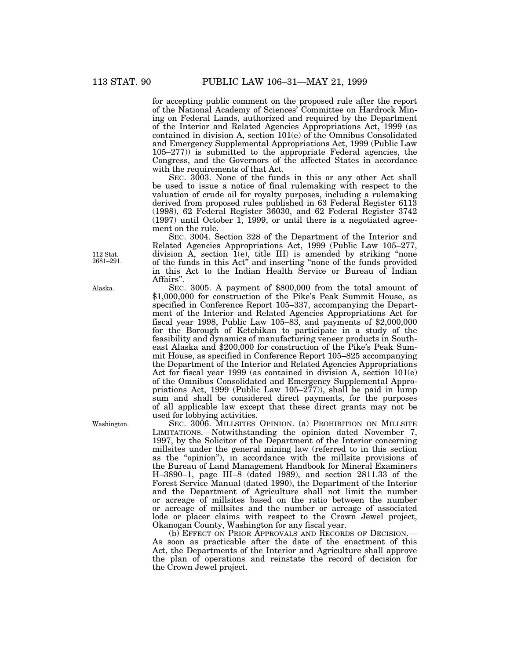for accepting public comment on the proposed rule after the report of the National Academy of Sciences' Committee on Hardrock Mining on Federal Lands, authorized and required by the Department of the Interior and Related Agencies Appropriations Act, 1999 (as contained in division A, section 101(e) of the Omnibus Consolidated and Emergency Supplemental Appropriations Act, 1999 (Public Law 105–277)) is submitted to the appropriate Federal agencies, the Congress, and the Governors of the affected States in accordance with the requirements of that Act.

SEC. 3003. None of the funds in this or any other Act shall be used to issue a notice of final rulemaking with respect to the valuation of crude oil for royalty purposes, including a rulemaking derived from proposed rules published in 63 Federal Register 6113 (1998), 62 Federal Register 36030, and 62 Federal Register 3742  $(1997)$  until October 1, 1999, or until there is a negotiated agreement on the rule.

SEC. 3004. Section 328 of the Department of the Interior and Related Agencies Appropriations Act, 1999 (Public Law 105–277, division A, section 1(e), title III) is amended by striking ''none of the funds in this Act'' and inserting ''none of the funds provided in this Act to the Indian Health Service or Bureau of Indian Affairs''.

SEC. 3005. A payment of \$800,000 from the total amount of \$1,000,000 for construction of the Pike's Peak Summit House, as specified in Conference Report 105–337, accompanying the Department of the Interior and Related Agencies Appropriations Act for fiscal year 1998, Public Law 105–83, and payments of \$2,000,000 for the Borough of Ketchikan to participate in a study of the feasibility and dynamics of manufacturing veneer products in Southeast Alaska and \$200,000 for construction of the Pike's Peak Summit House, as specified in Conference Report 105–825 accompanying the Department of the Interior and Related Agencies Appropriations Act for fiscal year 1999 (as contained in division A, section 101(e) of the Omnibus Consolidated and Emergency Supplemental Appropriations Act, 1999 (Public Law  $105-277$ )), shall be paid in lump sum and shall be considered direct payments, for the purposes of all applicable law except that these direct grants may not be used for lobbying activities.

SEC. 3006. MILLSITES OPINION. (a) PROHIBITION ON MILLSITE LIMITATIONS.—Notwithstanding the opinion dated November 7, 1997, by the Solicitor of the Department of the Interior concerning millsites under the general mining law (referred to in this section as the "opinion"), in accordance with the millsite provisions of the Bureau of Land Management Handbook for Mineral Examiners H–3890–1, page III–8 (dated 1989), and section 2811.33 of the Forest Service Manual (dated 1990), the Department of the Interior and the Department of Agriculture shall not limit the number or acreage of millsites based on the ratio between the number or acreage of millsites and the number or acreage of associated lode or placer claims with respect to the Crown Jewel project, Okanogan County, Washington for any fiscal year.

(b) EFFECT ON PRIOR APPROVALS AND RECORDS OF DECISION.— As soon as practicable after the date of the enactment of this Act, the Departments of the Interior and Agriculture shall approve the plan of operations and reinstate the record of decision for the Crown Jewel project.

112 Stat. 2681–291.

Alaska.

Washington.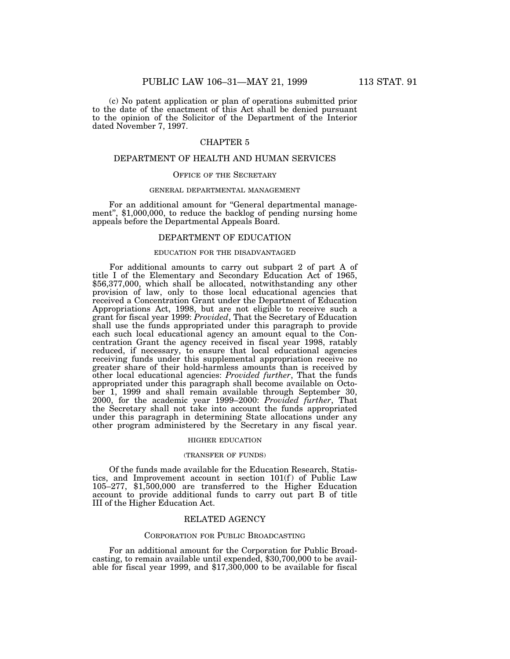(c) No patent application or plan of operations submitted prior to the date of the enactment of this Act shall be denied pursuant to the opinion of the Solicitor of the Department of the Interior dated November 7, 1997.

# CHAPTER 5

## DEPARTMENT OF HEALTH AND HUMAN SERVICES

#### OFFICE OF THE SECRETARY

### GENERAL DEPARTMENTAL MANAGEMENT

For an additional amount for "General departmental management", \$1,000,000, to reduce the backlog of pending nursing home appeals before the Departmental Appeals Board.

# DEPARTMENT OF EDUCATION

# EDUCATION FOR THE DISADVANTAGED

For additional amounts to carry out subpart 2 of part A of title I of the Elementary and Secondary Education Act of 1965, \$56,377,000, which shall be allocated, notwithstanding any other provision of law, only to those local educational agencies that received a Concentration Grant under the Department of Education Appropriations Act, 1998, but are not eligible to receive such a grant for fiscal year 1999: *Provided*, That the Secretary of Education shall use the funds appropriated under this paragraph to provide each such local educational agency an amount equal to the Concentration Grant the agency received in fiscal year 1998, ratably reduced, if necessary, to ensure that local educational agencies receiving funds under this supplemental appropriation receive no greater share of their hold-harmless amounts than is received by other local educational agencies: *Provided further*, That the funds appropriated under this paragraph shall become available on October 1, 1999 and shall remain available through September 30, 2000, for the academic year 1999–2000: *Provided further*, That the Secretary shall not take into account the funds appropriated under this paragraph in determining State allocations under any other program administered by the Secretary in any fiscal year.

#### HIGHER EDUCATION

#### (TRANSFER OF FUNDS)

Of the funds made available for the Education Research, Statistics, and Improvement account in section  $101(f)$  of Public Law 105–277, \$1,500,000 are transferred to the Higher Education account to provide additional funds to carry out part B of title III of the Higher Education Act.

### RELATED AGENCY

#### CORPORATION FOR PUBLIC BROADCASTING

For an additional amount for the Corporation for Public Broadcasting, to remain available until expended, \$30,700,000 to be available for fiscal year 1999, and \$17,300,000 to be available for fiscal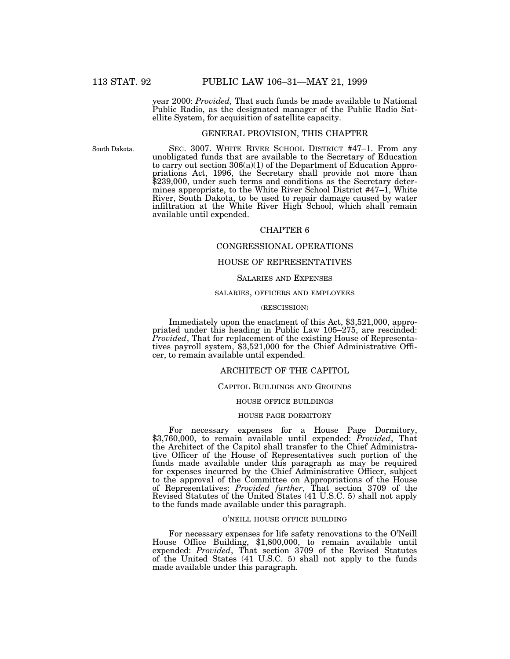year 2000: *Provided,* That such funds be made available to National Public Radio, as the designated manager of the Public Radio Satellite System, for acquisition of satellite capacity.

### GENERAL PROVISION, THIS CHAPTER

South Dakota.

SEC. 3007. WHITE RIVER SCHOOL DISTRICT #47–1. From any unobligated funds that are available to the Secretary of Education to carry out section 306(a)(1) of the Department of Education Appropriations Act, 1996, the Secretary shall provide not more than \$239,000, under such terms and conditions as the Secretary determines appropriate, to the White River School District #47–1, White River, South Dakota, to be used to repair damage caused by water infiltration at the White River High School, which shall remain available until expended.

#### CHAPTER 6

# CONGRESSIONAL OPERATIONS

# HOUSE OF REPRESENTATIVES

# SALARIES AND EXPENSES

## SALARIES, OFFICERS AND EMPLOYEES

#### (RESCISSION)

Immediately upon the enactment of this Act, \$3,521,000, appropriated under this heading in Public Law 105–275, are rescinded:<br>*Provided*, That for replacement of the existing House of Representa-*Provided*, That for replacement of the existing House of Representa- tives payroll system, \$3,521,000 for the Chief Administrative Officer, to remain available until expended.

## ARCHITECT OF THE CAPITOL

#### CAPITOL BUILDINGS AND GROUNDS

#### HOUSE OFFICE BUILDINGS

#### HOUSE PAGE DORMITORY

For necessary expenses for a House Page Dormitory, \$3,760,000, to remain available until expended: *Provided*, That the Architect of the Capitol shall transfer to the Chief Administrative Officer of the House of Representatives such portion of the funds made available under this paragraph as may be required for expenses incurred by the Chief Administrative Officer, subject to the approval of the Committee on Appropriations of the House of Representatives: *Provided further*, That section 3709 of the Revised Statutes of the United States (41 U.S.C. 5) shall not apply to the funds made available under this paragraph.

#### O'NEILL HOUSE OFFICE BUILDING

For necessary expenses for life safety renovations to the O'Neill House Office Building, \$1,800,000, to remain available until expended: *Provided*, That section 3709 of the Revised Statutes of the United States (41 U.S.C. 5) shall not apply to the funds made available under this paragraph.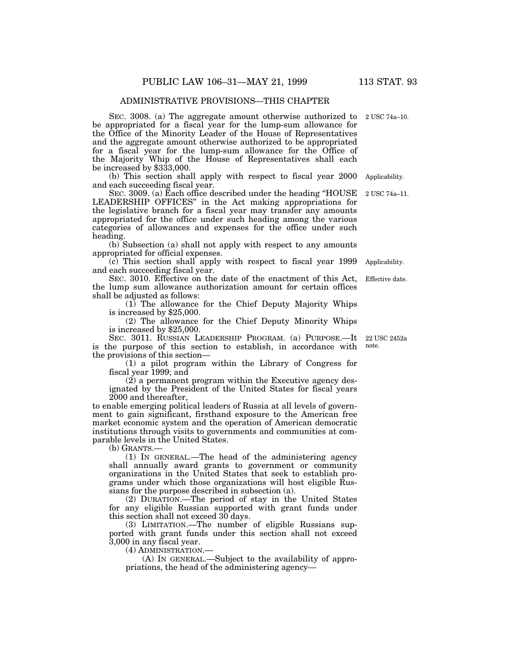# ADMINISTRATIVE PROVISIONS—THIS CHAPTER

SEC. 3008. (a) The aggregate amount otherwise authorized to be appropriated for a fiscal year for the lump-sum allowance for the Office of the Minority Leader of the House of Representatives and the aggregate amount otherwise authorized to be appropriated for a fiscal year for the lump-sum allowance for the Office of the Majority Whip of the House of Representatives shall each be increased by \$333,000.

(b) This section shall apply with respect to fiscal year 2000 and each succeeding fiscal year. Applicability.

SEC. 3009. (a) Each office described under the heading ''HOUSE LEADERSHIP OFFICES'' in the Act making appropriations for the legislative branch for a fiscal year may transfer any amounts appropriated for the office under such heading among the various categories of allowances and expenses for the office under such heading.

(b) Subsection (a) shall not apply with respect to any amounts appropriated for official expenses.

(c) This section shall apply with respect to fiscal year 1999 and each succeeding fiscal year. Applicability.

SEC. 3010. Effective on the date of the enactment of this Act, the lump sum allowance authorization amount for certain offices shall be adjusted as follows: Effective date.

(1) The allowance for the Chief Deputy Majority Whips is increased by \$25,000.

(2) The allowance for the Chief Deputy Minority Whips is increased by \$25,000.

SEC. 3011. RUSSIAN LEADERSHIP PROGRAM. (a) PURPOSE.—It is the purpose of this section to establish, in accordance with the provisions of this section—

(1) a pilot program within the Library of Congress for fiscal year 1999; and

(2) a permanent program within the Executive agency designated by the President of the United States for fiscal years 2000 and thereafter,

to enable emerging political leaders of Russia at all levels of government to gain significant, firsthand exposure to the American free market economic system and the operation of American democratic institutions through visits to governments and communities at comparable levels in the United States.

(b) GRANTS.—

(1) IN GENERAL.—The head of the administering agency shall annually award grants to government or community organizations in the United States that seek to establish programs under which those organizations will host eligible Russians for the purpose described in subsection (a).

(2) DURATION.—The period of stay in the United States for any eligible Russian supported with grant funds under this section shall not exceed 30 days.

(3) LIMITATION.—The number of eligible Russians supported with grant funds under this section shall not exceed 3,000 in any fiscal year.

(4) ADMINISTRATION.—

(A) IN GENERAL.—Subject to the availability of appropriations, the head of the administering agency—

22 USC 2452a note.

2 USC 74a–11.

2 USC 74a–10.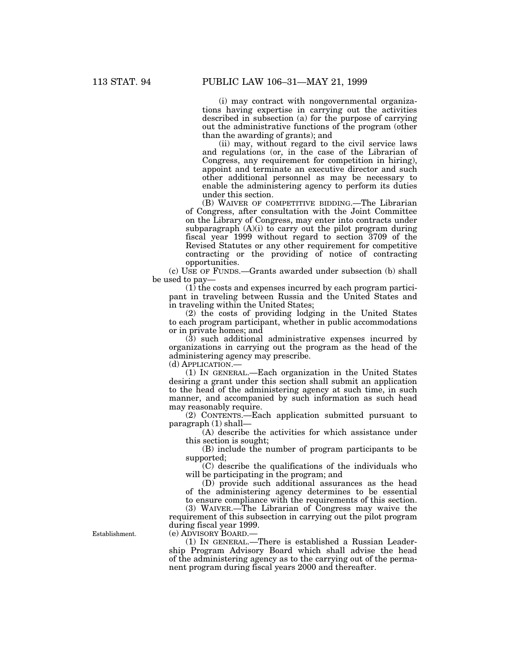(i) may contract with nongovernmental organizations having expertise in carrying out the activities described in subsection (a) for the purpose of carrying out the administrative functions of the program (other than the awarding of grants); and

(ii) may, without regard to the civil service laws and regulations (or, in the case of the Librarian of Congress, any requirement for competition in hiring), appoint and terminate an executive director and such other additional personnel as may be necessary to enable the administering agency to perform its duties under this section.

(B) WAIVER OF COMPETITIVE BIDDING.—The Librarian of Congress, after consultation with the Joint Committee on the Library of Congress, may enter into contracts under subparagraph  $(A)(i)$  to carry out the pilot program during fiscal year 1999 without regard to section 3709 of the Revised Statutes or any other requirement for competitive contracting or the providing of notice of contracting opportunities.

(c) USE OF FUNDS.—Grants awarded under subsection (b) shall be used to pay—

(1) the costs and expenses incurred by each program participant in traveling between Russia and the United States and in traveling within the United States;

(2) the costs of providing lodging in the United States to each program participant, whether in public accommodations or in private homes; and

(3) such additional administrative expenses incurred by organizations in carrying out the program as the head of the administering agency may prescribe.

(d) APPLICATION.—

(1) IN GENERAL.—Each organization in the United States desiring a grant under this section shall submit an application to the head of the administering agency at such time, in such manner, and accompanied by such information as such head may reasonably require.

(2) CONTENTS.—Each application submitted pursuant to paragraph (1) shall—

(A) describe the activities for which assistance under this section is sought;

(B) include the number of program participants to be supported;

(C) describe the qualifications of the individuals who will be participating in the program; and

(D) provide such additional assurances as the head of the administering agency determines to be essential to ensure compliance with the requirements of this section.

(3) WAIVER.—The Librarian of Congress may waive the requirement of this subsection in carrying out the pilot program during fiscal year 1999.

(e) ADVISORY BOARD.—

(1) IN GENERAL.—There is established a Russian Leadership Program Advisory Board which shall advise the head of the administering agency as to the carrying out of the permanent program during fiscal years 2000 and thereafter.

Establishment.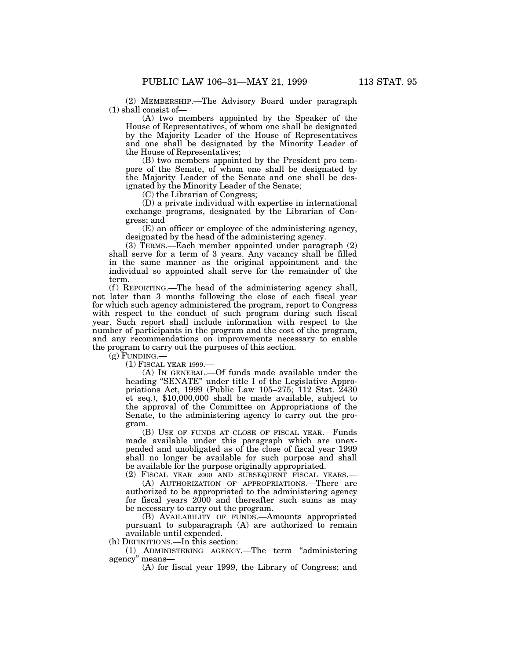(2) MEMBERSHIP.—The Advisory Board under paragraph (1) shall consist of—

(A) two members appointed by the Speaker of the House of Representatives, of whom one shall be designated by the Majority Leader of the House of Representatives and one shall be designated by the Minority Leader of the House of Representatives;

(B) two members appointed by the President pro tempore of the Senate, of whom one shall be designated by the Majority Leader of the Senate and one shall be designated by the Minority Leader of the Senate;

(C) the Librarian of Congress;

(D) a private individual with expertise in international exchange programs, designated by the Librarian of Congress; and

(E) an officer or employee of the administering agency, designated by the head of the administering agency.

(3) TERMS.—Each member appointed under paragraph (2) shall serve for a term of 3 years. Any vacancy shall be filled in the same manner as the original appointment and the individual so appointed shall serve for the remainder of the term.

(f) REPORTING.—The head of the administering agency shall, not later than 3 months following the close of each fiscal year for which such agency administered the program, report to Congress with respect to the conduct of such program during such fiscal year. Such report shall include information with respect to the number of participants in the program and the cost of the program, and any recommendations on improvements necessary to enable the program to carry out the purposes of this section.

 $(g)$  FUNDING.

(1) FISCAL YEAR 1999.—

(A) IN GENERAL.—Of funds made available under the heading ''SENATE'' under title I of the Legislative Appropriations Act, 1999 (Public Law 105–275; 112 Stat. 2430 et seq.), \$10,000,000 shall be made available, subject to the approval of the Committee on Appropriations of the Senate, to the administering agency to carry out the program.

(B) USE OF FUNDS AT CLOSE OF FISCAL YEAR.—Funds made available under this paragraph which are unexpended and unobligated as of the close of fiscal year 1999 shall no longer be available for such purpose and shall be available for the purpose originally appropriated.

(2) FISCAL YEAR 2000 AND SUBSEQUENT FISCAL YEARS.—

(A) AUTHORIZATION OF APPROPRIATIONS.—There are authorized to be appropriated to the administering agency for fiscal years 2000 and thereafter such sums as may be necessary to carry out the program.

(B) AVAILABILITY OF FUNDS.—Amounts appropriated pursuant to subparagraph (A) are authorized to remain available until expended.

(h) DEFINITIONS.—In this section:

(1) ADMINISTERING AGENCY.—The term ''administering agency'' means—

(A) for fiscal year 1999, the Library of Congress; and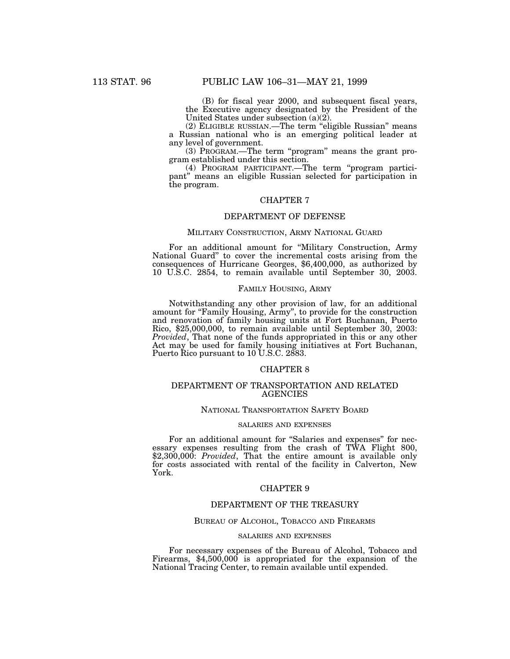(B) for fiscal year 2000, and subsequent fiscal years, the Executive agency designated by the President of the United States under subsection (a)(2).

(2) ELIGIBLE RUSSIAN.—The term ''eligible Russian'' means a Russian national who is an emerging political leader at any level of government.

(3) PROGRAM.—The term ''program'' means the grant program established under this section.

(4) PROGRAM PARTICIPANT.—The term ''program participant'' means an eligible Russian selected for participation in the program.

# CHAPTER 7

# DEPARTMENT OF DEFENSE

### MILITARY CONSTRUCTION, ARMY NATIONAL GUARD

For an additional amount for ''Military Construction, Army National Guard'' to cover the incremental costs arising from the consequences of Hurricane Georges, \$6,400,000, as authorized by 10 U.S.C. 2854, to remain available until September 30, 2003.

## FAMILY HOUSING, ARMY

Notwithstanding any other provision of law, for an additional amount for "Family Housing, Army", to provide for the construction and renovation of family housing units at Fort Buchanan, Puerto Rico, \$25,000,000, to remain available until September 30, 2003: *Provided*, That none of the funds appropriated in this or any other Act may be used for family housing initiatives at Fort Buchanan, Puerto Rico pursuant to 10 U.S.C. 2883.

# CHAPTER 8

# DEPARTMENT OF TRANSPORTATION AND RELATED AGENCIES

## NATIONAL TRANSPORTATION SAFETY BOARD

# SALARIES AND EXPENSES

For an additional amount for ''Salaries and expenses'' for necessary expenses resulting from the crash of TWA Flight 800, \$2,300,000: *Provided*, That the entire amount is available only for costs associated with rental of the facility in Calverton, New York.

# CHAPTER 9

#### DEPARTMENT OF THE TREASURY

#### BUREAU OF ALCOHOL, TOBACCO AND FIREARMS

## SALARIES AND EXPENSES

For necessary expenses of the Bureau of Alcohol, Tobacco and Firearms, \$4,500,000 is appropriated for the expansion of the National Tracing Center, to remain available until expended.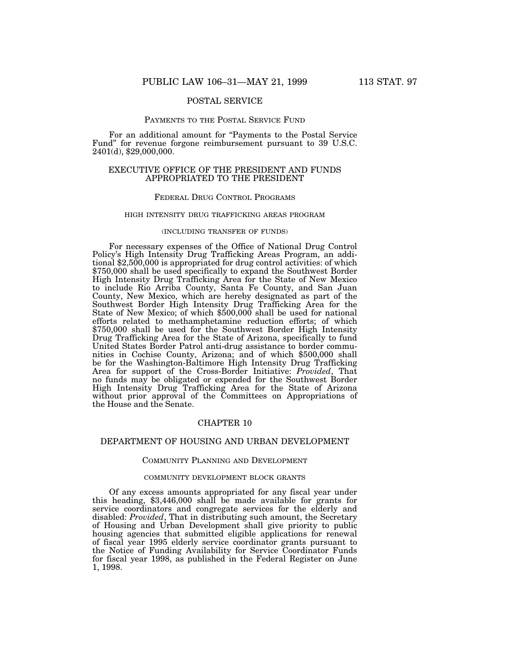# POSTAL SERVICE

### PAYMENTS TO THE POSTAL SERVICE FUND

For an additional amount for "Payments to the Postal Service Fund'' for revenue forgone reimbursement pursuant to 39 U.S.C. 2401(d), \$29,000,000.

# EXECUTIVE OFFICE OF THE PRESIDENT AND FUNDS APPROPRIATED TO THE PRESIDENT

#### FEDERAL DRUG CONTROL PROGRAMS

#### HIGH INTENSITY DRUG TRAFFICKING AREAS PROGRAM

## (INCLUDING TRANSFER OF FUNDS)

For necessary expenses of the Office of National Drug Control Policy's High Intensity Drug Trafficking Areas Program, an additional \$2,500,000 is appropriated for drug control activities: of which \$750,000 shall be used specifically to expand the Southwest Border High Intensity Drug Trafficking Area for the State of New Mexico to include Rio Arriba County, Santa Fe County, and San Juan County, New Mexico, which are hereby designated as part of the Southwest Border High Intensity Drug Trafficking Area for the State of New Mexico; of which \$500,000 shall be used for national efforts related to methamphetamine reduction efforts; of which \$750,000 shall be used for the Southwest Border High Intensity Drug Trafficking Area for the State of Arizona, specifically to fund United States Border Patrol anti-drug assistance to border communities in Cochise County, Arizona; and of which \$500,000 shall be for the Washington-Baltimore High Intensity Drug Trafficking Area for support of the Cross-Border Initiative: *Provided*, That no funds may be obligated or expended for the Southwest Border High Intensity Drug Trafficking Area for the State of Arizona without prior approval of the Committees on Appropriations of the House and the Senate.

# CHAPTER 10

#### DEPARTMENT OF HOUSING AND URBAN DEVELOPMENT

### COMMUNITY PLANNING AND DEVELOPMENT

#### COMMUNITY DEVELOPMENT BLOCK GRANTS

Of any excess amounts appropriated for any fiscal year under this heading, \$3,446,000 shall be made available for grants for service coordinators and congregate services for the elderly and disabled: *Provided*, That in distributing such amount, the Secretary of Housing and Urban Development shall give priority to public housing agencies that submitted eligible applications for renewal of fiscal year 1995 elderly service coordinator grants pursuant to the Notice of Funding Availability for Service Coordinator Funds for fiscal year 1998, as published in the Federal Register on June 1, 1998.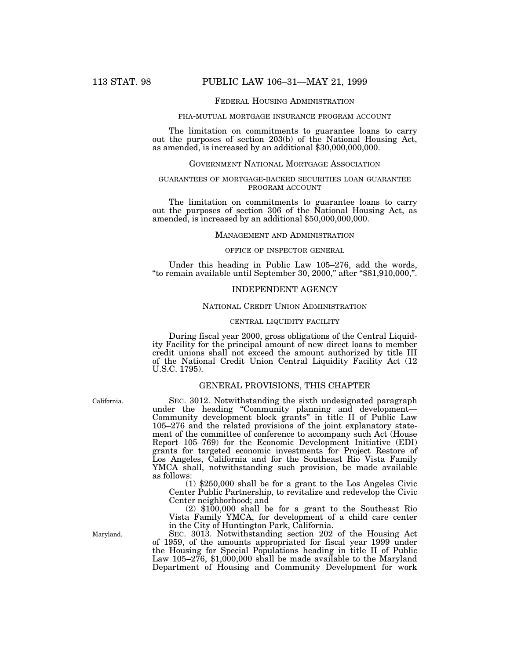## FEDERAL HOUSING ADMINISTRATION

#### FHA-MUTUAL MORTGAGE INSURANCE PROGRAM ACCOUNT

The limitation on commitments to guarantee loans to carry out the purposes of section 203(b) of the National Housing Act, as amended, is increased by an additional \$30,000,000,000.

## GOVERNMENT NATIONAL MORTGAGE ASSOCIATION

# GUARANTEES OF MORTGAGE-BACKED SECURITIES LOAN GUARANTEE PROGRAM ACCOUNT

The limitation on commitments to guarantee loans to carry out the purposes of section 306 of the National Housing Act, as amended, is increased by an additional \$50,000,000,000.

## MANAGEMENT AND ADMINISTRATION

#### OFFICE OF INSPECTOR GENERAL

Under this heading in Public Law 105–276, add the words, ''to remain available until September 30, 2000,'' after ''\$81,910,000,''.

### INDEPENDENT AGENCY

# NATIONAL CREDIT UNION ADMINISTRATION

## CENTRAL LIQUIDITY FACILITY

During fiscal year 2000, gross obligations of the Central Liquidity Facility for the principal amount of new direct loans to member credit unions shall not exceed the amount authorized by title III of the National Credit Union Central Liquidity Facility Act (12 U.S.C. 1795).

# GENERAL PROVISIONS, THIS CHAPTER

SEC. 3012. Notwithstanding the sixth undesignated paragraph under the heading ''Community planning and development— Community development block grants'' in title II of Public Law 105–276 and the related provisions of the joint explanatory statement of the committee of conference to accompany such Act (House Report 105–769) for the Economic Development Initiative (EDI) grants for targeted economic investments for Project Restore of Los Angeles, California and for the Southeast Rio Vista Family YMCA shall, notwithstanding such provision, be made available as follows:

(1) \$250,000 shall be for a grant to the Los Angeles Civic Center Public Partnership, to revitalize and redevelop the Civic Center neighborhood; and

(2) \$100,000 shall be for a grant to the Southeast Rio Vista Family YMCA, for development of a child care center in the City of Huntington Park, California.

SEC. 3013. Notwithstanding section 202 of the Housing Act of 1959, of the amounts appropriated for fiscal year 1999 under the Housing for Special Populations heading in title II of Public Law 105–276, \$1,000,000 shall be made available to the Maryland Department of Housing and Community Development for work

California.

Maryland.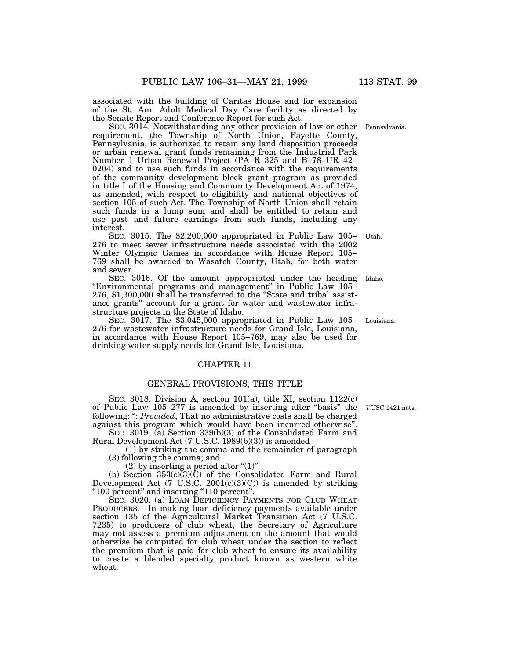associated with the building of Caritas House and for expansion of the St. Ann Adult Medical Day Care facility as directed by the Senate Report and Conference Report for such Act.

SEC. 3014. Notwithstanding any other provision of law or other Pennsylvania.requirement, the Township of North Union, Fayette County, Pennsylvania, is authorized to retain any land disposition proceeds or urban renewal grant funds remaining from the Industrial Park Number 1 Urban Renewal Project (PA–R–325 and B–78–UR–42– 0204) and to use such funds in accordance with the requirements of the community development block grant program as provided in title I of the Housing and Community Development Act of 1974, as amended, with respect to eligibility and national objectives of section 105 of such Act. The Township of North Union shall retain such funds in a lump sum and shall be entitled to retain and use past and future earnings from such funds, including any interest.

SEC. 3015. The \$2,200,000 appropriated in Public Law 105– 276 to meet sewer infrastructure needs associated with the 2002 Winter Olympic Games in accordance with House Report 105– 769 shall be awarded to Wasatch County, Utah, for both water and sewer. Utah.

SEC. 3016. Of the amount appropriated under the heading ''Environmental programs and management'' in Public Law 105– 276, \$1,300,000 shall be transferred to the "State and tribal assistance grants'' account for a grant for water and wastewater infrastructure projects in the State of Idaho. Idaho.

SEC. 3017. The \$3,045,000 appropriated in Public Law 105– Louisiana. 276 for wastewater infrastructure needs for Grand Isle, Louisiana, in accordance with House Report 105–769, may also be used for drinking water supply needs for Grand Isle, Louisiana.

# CHAPTER 11

# GENERAL PROVISIONS, THIS TITLE

SEC. 3018. Division A, section 101(a), title XI, section 1122(c) of Public Law 105–277 is amended by inserting after ''basis'' the 7 USC 1421 note. following: '': *Provided*, That no administrative costs shall be charged against this program which would have been incurred otherwise''.

SEC. 3019. (a) Section 339(b)(3) of the Consolidated Farm and Rural Development Act (7 U.S.C. 1989(b)(3)) is amended—

(1) by striking the comma and the remainder of paragraph (3) following the comma; and

(2) by inserting a period after " $(1)$ ".

(b) Section 353(c)(3)(C) of the Consolidated Farm and Rural Development Act (7 U.S.C. 2001(c)(3)(C)) is amended by striking ''100 percent'' and inserting ''110 percent''.

SEC. 3020. (a) LOAN DEFICIENCY PAYMENTS FOR CLUB WHEAT PRODUCERS.—In making loan deficiency payments available under section 135 of the Agricultural Market Transition Act (7 U.S.C. 7235) to producers of club wheat, the Secretary of Agriculture may not assess a premium adjustment on the amount that would otherwise be computed for club wheat under the section to reflect the premium that is paid for club wheat to ensure its availability to create a blended specialty product known as western white wheat.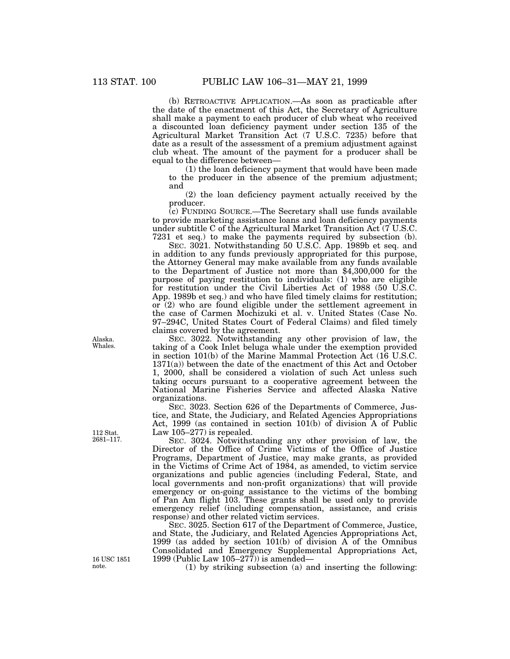(b) RETROACTIVE APPLICATION.—As soon as practicable after the date of the enactment of this Act, the Secretary of Agriculture shall make a payment to each producer of club wheat who received a discounted loan deficiency payment under section 135 of the Agricultural Market Transition Act (7 U.S.C. 7235) before that date as a result of the assessment of a premium adjustment against club wheat. The amount of the payment for a producer shall be equal to the difference between—

(1) the loan deficiency payment that would have been made to the producer in the absence of the premium adjustment; and

(2) the loan deficiency payment actually received by the producer.

(c) FUNDING SOURCE.—The Secretary shall use funds available to provide marketing assistance loans and loan deficiency payments under subtitle C of the Agricultural Market Transition Act (7 U.S.C. 7231 et seq.) to make the payments required by subsection (b).

SEC. 3021. Notwithstanding 50 U.S.C. App. 1989b et seq. and in addition to any funds previously appropriated for this purpose, the Attorney General may make available from any funds available to the Department of Justice not more than \$4,300,000 for the purpose of paying restitution to individuals: (1) who are eligible for restitution under the Civil Liberties Act of 1988 (50 U.S.C. App. 1989b et seq.) and who have filed timely claims for restitution; or (2) who are found eligible under the settlement agreement in the case of Carmen Mochizuki et al. v. United States (Case No. 97–294C, United States Court of Federal Claims) and filed timely claims covered by the agreement.

SEC. 3022. Notwithstanding any other provision of law, the taking of a Cook Inlet beluga whale under the exemption provided in section 101(b) of the Marine Mammal Protection Act (16 U.S.C. 1371(a)) between the date of the enactment of this Act and October 1, 2000, shall be considered a violation of such Act unless such taking occurs pursuant to a cooperative agreement between the National Marine Fisheries Service and affected Alaska Native organizations.

SEC. 3023. Section 626 of the Departments of Commerce, Justice, and State, the Judiciary, and Related Agencies Appropriations Act, 1999 (as contained in section 101(b) of division A of Public Law 105–277) is repealed.

SEC. 3024. Notwithstanding any other provision of law, the Director of the Office of Crime Victims of the Office of Justice Programs, Department of Justice, may make grants, as provided in the Victims of Crime Act of 1984, as amended, to victim service organizations and public agencies (including Federal, State, and local governments and non-profit organizations) that will provide emergency or on-going assistance to the victims of the bombing of Pan Am flight 103. These grants shall be used only to provide emergency relief (including compensation, assistance, and crisis response) and other related victim services.

SEC. 3025. Section 617 of the Department of Commerce, Justice, and State, the Judiciary, and Related Agencies Appropriations Act, 1999 (as added by section 101(b) of division A of the Omnibus Consolidated and Emergency Supplemental Appropriations Act, 1999 (Public Law 105–277)) is amended—

(1) by striking subsection (a) and inserting the following:

Alaska. Whales.

112 Stat. 2681–117.

16 USC 1851 note.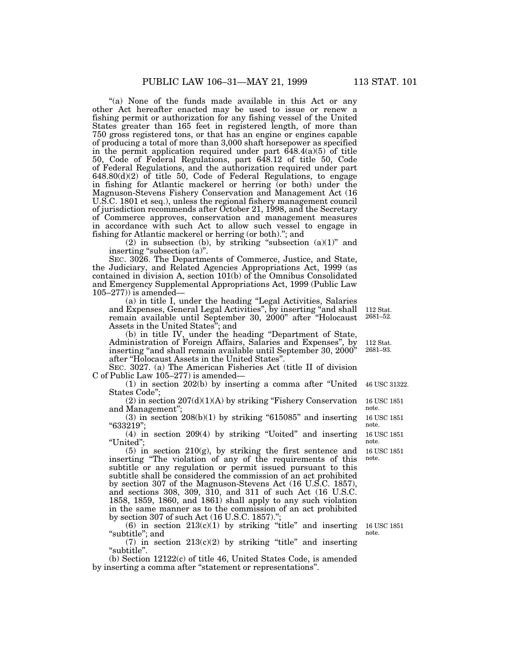"(a) None of the funds made available in this Act or any other Act hereafter enacted may be used to issue or renew a fishing permit or authorization for any fishing vessel of the United States greater than 165 feet in registered length, of more than 750 gross registered tons, or that has an engine or engines capable of producing a total of more than 3,000 shaft horsepower as specified in the permit application required under part  $648.4(a)(5)$  of title 50, Code of Federal Regulations, part 648.12 of title 50, Code of Federal Regulations, and the authorization required under part 648.80(d)(2) of title 50, Code of Federal Regulations, to engage in fishing for Atlantic mackerel or herring (or both) under the Magnuson-Stevens Fishery Conservation and Management Act (16 U.S.C. 1801 et seq.), unless the regional fishery management council of jurisdiction recommends after October 21, 1998, and the Secretary of Commerce approves, conservation and management measures in accordance with such Act to allow such vessel to engage in fishing for Atlantic mackerel or herring (or both).''; and

(2) in subsection (b), by striking "subsection  $(a)(1)$ " and inserting "subsection (a)".

SEC. 3026. The Departments of Commerce, Justice, and State, the Judiciary, and Related Agencies Appropriations Act, 1999 (as contained in division A, section 101(b) of the Omnibus Consolidated and Emergency Supplemental Appropriations Act, 1999 (Public Law  $105-277$ ) is amended—

(a) in title I, under the heading ''Legal Activities, Salaries and Expenses, General Legal Activities'', by inserting ''and shall remain available until September 30, 2000'' after ''Holocaust Assets in the United States''; and 112 Stat. 2681–52.

(b) in title IV, under the heading ''Department of State, Administration of Foreign Affairs, Salaries and Expenses'', by inserting "and shall remain available until September 30, 2000" after ''Holocaust Assets in the United States''.

SEC. 3027. (a) The American Fisheries Act (title II of division C of Public Law 105–277) is amended—

(1) in section 202(b) by inserting a comma after ''United States Code'';

(2) in section  $207(d)(1)(A)$  by striking "Fishery Conservation and Management" 16 USC 1851 note.

 $(3)$  in section  $208(b)(1)$  by striking "615085" and inserting ''633219''; 16 USC 1851 note.

(4) in section 209(4) by striking ''Uoited'' and inserting ''United''; 16 USC 1851 note.

(5) in section 210(g), by striking the first sentence and inserting ''The violation of any of the requirements of this subtitle or any regulation or permit issued pursuant to this subtitle shall be considered the commission of an act prohibited by section 307 of the Magnuson-Stevens Act (16 U.S.C. 1857), and sections 308, 309, 310, and 311 of such Act (16 U.S.C. 1858, 1859, 1860, and 1861) shall apply to any such violation in the same manner as to the commission of an act prohibited by section 307 of such Act  $(16$  U.S.C.  $1857$ ." 16 USC 1851 note.

(6) in section  $213(c)(1)$  by striking "title" and inserting "subtitle"; and

(7) in section  $213(c)(2)$  by striking "title" and inserting "subtitle".

(b) Section 12122(c) of title 46, United States Code, is amended by inserting a comma after ''statement or representations''.

16 USC 1851 note.

112 Stat. 2681–93.

46 USC 31322.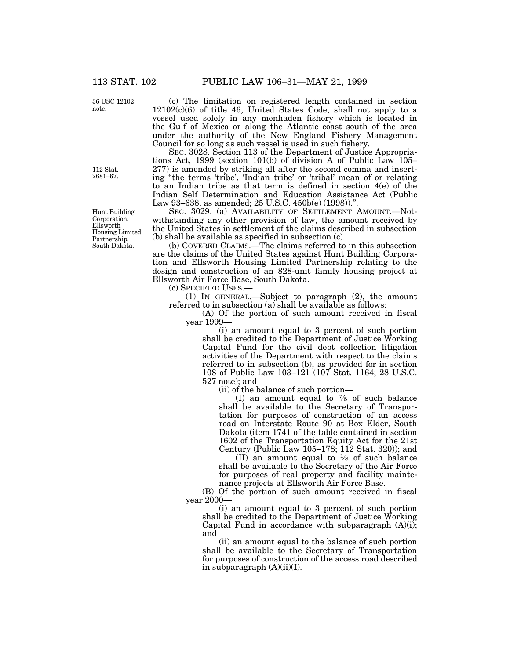36 USC 12102 note.

112 Stat. 2681–67.

Hunt Building Corporation. Ellsworth Housing Limited Partnership. South Dakota.

(c) The limitation on registered length contained in section 12102(c)(6) of title 46, United States Code, shall not apply to a vessel used solely in any menhaden fishery which is located in the Gulf of Mexico or along the Atlantic coast south of the area under the authority of the New England Fishery Management Council for so long as such vessel is used in such fishery.

SEC. 3028. Section 113 of the Department of Justice Appropriations Act, 1999 (section 101(b) of division A of Public Law 105– 277) is amended by striking all after the second comma and inserting ''the terms 'tribe', 'Indian tribe' or 'tribal' mean of or relating to an Indian tribe as that term is defined in section 4(e) of the Indian Self Determination and Education Assistance Act (Public Law 93–638, as amended; 25 U.S.C. 450b(e) (1998)).''.

SEC. 3029. (a) AVAILABILITY OF SETTLEMENT AMOUNT.-Notwithstanding any other provision of law, the amount received by the United States in settlement of the claims described in subsection (b) shall be available as specified in subsection (c).

(b) COVERED CLAIMS.—The claims referred to in this subsection are the claims of the United States against Hunt Building Corporation and Ellsworth Housing Limited Partnership relating to the design and construction of an 828-unit family housing project at Ellsworth Air Force Base, South Dakota.

(c) SPECIFIED USES.—

(1) IN GENERAL.—Subject to paragraph (2), the amount referred to in subsection (a) shall be available as follows:

(A) Of the portion of such amount received in fiscal year 1999—

(i) an amount equal to 3 percent of such portion shall be credited to the Department of Justice Working Capital Fund for the civil debt collection litigation activities of the Department with respect to the claims referred to in subsection (b), as provided for in section 108 of Public Law 103–121 (107 Stat. 1164; 28 U.S.C. 527 note); and

(ii) of the balance of such portion—

(I) an amount equal to 7⁄8 of such balance shall be available to the Secretary of Transportation for purposes of construction of an access road on Interstate Route 90 at Box Elder, South Dakota (item 1741 of the table contained in section 1602 of the Transportation Equity Act for the 21st Century (Public Law 105–178; 112 Stat. 320)); and

(II) an amount equal to 1⁄8 of such balance shall be available to the Secretary of the Air Force for purposes of real property and facility maintenance projects at Ellsworth Air Force Base.

(B) Of the portion of such amount received in fiscal year 2000—

(i) an amount equal to 3 percent of such portion shall be credited to the Department of Justice Working Capital Fund in accordance with subparagraph  $(A)(i)$ ; and

(ii) an amount equal to the balance of such portion shall be available to the Secretary of Transportation for purposes of construction of the access road described in subparagraph  $(A)(ii)(I)$ .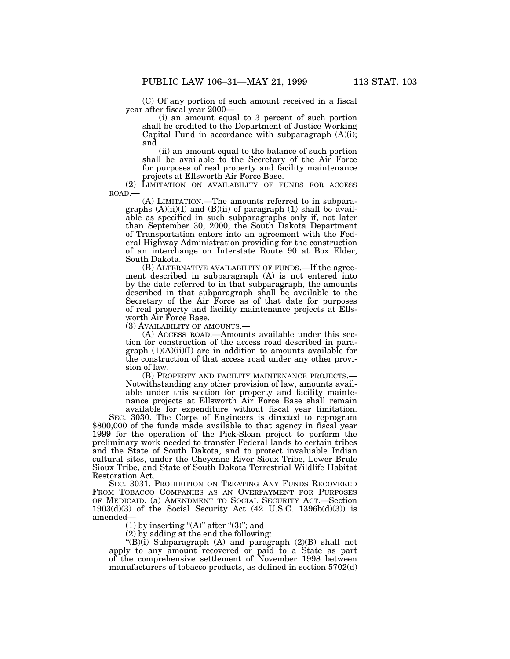(C) Of any portion of such amount received in a fiscal year after fiscal year 2000—

(i) an amount equal to 3 percent of such portion shall be credited to the Department of Justice Working Capital Fund in accordance with subparagraph  $(A)(i)$ ; and

(ii) an amount equal to the balance of such portion shall be available to the Secretary of the Air Force for purposes of real property and facility maintenance projects at Ellsworth Air Force Base.

(2) LIMITATION ON AVAILABILITY OF FUNDS FOR ACCESS ROAD.—

(A) LIMITATION.—The amounts referred to in subparagraphs  $(A)(ii)(I)$  and  $(B)(ii)$  of paragraph  $(1)$  shall be available as specified in such subparagraphs only if, not later than September 30, 2000, the South Dakota Department of Transportation enters into an agreement with the Federal Highway Administration providing for the construction of an interchange on Interstate Route 90 at Box Elder, South Dakota.

(B) ALTERNATIVE AVAILABILITY OF FUNDS.—If the agreement described in subparagraph (A) is not entered into by the date referred to in that subparagraph, the amounts described in that subparagraph shall be available to the Secretary of the Air Force as of that date for purposes of real property and facility maintenance projects at Ellsworth Air Force Base.

(3) AVAILABILITY OF AMOUNTS.—

(A) ACCESS ROAD.—Amounts available under this section for construction of the access road described in paragraph  $(1)(A)(ii)(I)$  are in addition to amounts available for the construction of that access road under any other provision of law.

(B) PROPERTY AND FACILITY MAINTENANCE PROJECTS.— Notwithstanding any other provision of law, amounts available under this section for property and facility maintenance projects at Ellsworth Air Force Base shall remain available for expenditure without fiscal year limitation.

SEC. 3030. The Corps of Engineers is directed to reprogram \$800,000 of the funds made available to that agency in fiscal year 1999 for the operation of the Pick-Sloan project to perform the preliminary work needed to transfer Federal lands to certain tribes and the State of South Dakota, and to protect invaluable Indian cultural sites, under the Cheyenne River Sioux Tribe, Lower Brule Sioux Tribe, and State of South Dakota Terrestrial Wildlife Habitat Restoration Act.

SEC. 3031. PROHIBITION ON TREATING ANY FUNDS RECOVERED FROM TOBACCO COMPANIES AS AN OVERPAYMENT FOR PURPOSES OF MEDICAID. (a) AMENDMENT TO SOCIAL SECURITY ACT.—Section  $1903(d)(3)$  of the Social Security Act (42 U.S.C. 1396b(d)(3)) is amended—

(1) by inserting " $(A)$ " after " $(3)$ "; and

(2) by adding at the end the following:

''(B)(i) Subparagraph (A) and paragraph (2)(B) shall not apply to any amount recovered or paid to a State as part of the comprehensive settlement of November 1998 between manufacturers of tobacco products, as defined in section 5702(d)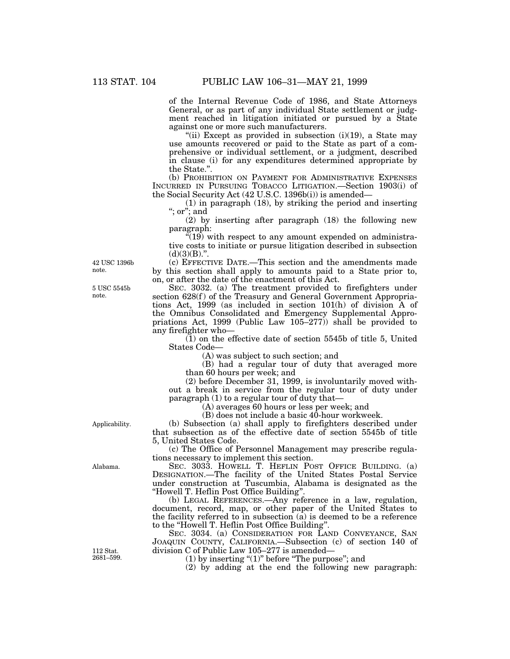of the Internal Revenue Code of 1986, and State Attorneys General, or as part of any individual State settlement or judgment reached in litigation initiated or pursued by a State against one or more such manufacturers.

"(ii) Except as provided in subsection (i)(19), a State may use amounts recovered or paid to the State as part of a comprehensive or individual settlement, or a judgment, described in clause (i) for any expenditures determined appropriate by the State.''.

(b) PROHIBITION ON PAYMENT FOR ADMINISTRATIVE EXPENSES INCURRED IN PURSUING TOBACCO LITIGATION.—Section 1903(i) of the Social Security Act (42 U.S.C. 1396b(i)) is amended—

(1) in paragraph (18), by striking the period and inserting ''; or''; and

(2) by inserting after paragraph (18) the following new paragraph:

"(19) with respect to any amount expended on administrative costs to initiate or pursue litigation described in subsection  $(d)(3)(B)$ .".

(c) EFFECTIVE DATE.—This section and the amendments made by this section shall apply to amounts paid to a State prior to, on, or after the date of the enactment of this Act.

SEC. 3032. (a) The treatment provided to firefighters under section 628(f) of the Treasury and General Government Appropriations Act, 1999 (as included in section 101(h) of division A of the Omnibus Consolidated and Emergency Supplemental Appropriations Act, 1999 (Public Law 105–277)) shall be provided to any firefighter who—

 $(1)$  on the effective date of section 5545b of title 5, United States Code—

(A) was subject to such section; and

(B) had a regular tour of duty that averaged more than 60 hours per week; and

(2) before December 31, 1999, is involuntarily moved without a break in service from the regular tour of duty under paragraph (1) to a regular tour of duty that—

(A) averages 60 hours or less per week; and

(B) does not include a basic 40-hour workweek.

(b) Subsection (a) shall apply to firefighters described under that subsection as of the effective date of section 5545b of title 5, United States Code.

(c) The Office of Personnel Management may prescribe regulations necessary to implement this section.

SEC. 3033. HOWELL T. HEFLIN POST OFFICE BUILDING. (a) DESIGNATION.—The facility of the United States Postal Service under construction at Tuscumbia, Alabama is designated as the ''Howell T. Heflin Post Office Building''.

(b) LEGAL REFERENCES.—Any reference in a law, regulation, document, record, map, or other paper of the United States to the facility referred to in subsection  $(a)$  is deemed to be a reference to the ''Howell T. Heflin Post Office Building''.

SEC. 3034. (a) CONSIDERATION FOR LAND CONVEYANCE, SAN JOAQUIN COUNTY, CALIFORNIA.—Subsection (c) of section 140 of division C of Public Law 105–277 is amended—

 $(1)$  by inserting " $(1)$ " before "The purpose"; and

(2) by adding at the end the following new paragraph:

42 USC 1396b note.

5 USC 5545b note.

Applicability.

Alabama.

112 Stat. 2681–599.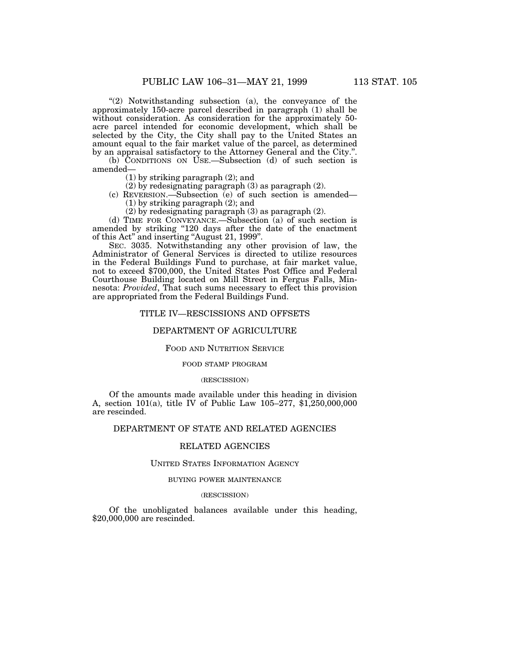''(2) Notwithstanding subsection (a), the conveyance of the approximately 150-acre parcel described in paragraph (1) shall be without consideration. As consideration for the approximately 50acre parcel intended for economic development, which shall be selected by the City, the City shall pay to the United States an amount equal to the fair market value of the parcel, as determined by an appraisal satisfactory to the Attorney General and the City.''.

(b) CONDITIONS ON USE.—Subsection (d) of such section is amended—

(1) by striking paragraph (2); and

(2) by redesignating paragraph (3) as paragraph (2).

(c) REVERSION.—Subsection (e) of such section is amended— (1) by striking paragraph (2); and

(2) by redesignating paragraph (3) as paragraph (2).

(d) TIME FOR CONVEYANCE.—Subsection (a) of such section is amended by striking ''120 days after the date of the enactment of this Act'' and inserting ''August 21, 1999''.

SEC. 3035. Notwithstanding any other provision of law, the Administrator of General Services is directed to utilize resources in the Federal Buildings Fund to purchase, at fair market value, not to exceed \$700,000, the United States Post Office and Federal Courthouse Building located on Mill Street in Fergus Falls, Minnesota: *Provided*, That such sums necessary to effect this provision are appropriated from the Federal Buildings Fund.

# TITLE IV—RESCISSIONS AND OFFSETS

# DEPARTMENT OF AGRICULTURE

## FOOD AND NUTRITION SERVICE

### FOOD STAMP PROGRAM

#### (RESCISSION)

Of the amounts made available under this heading in division A, section 101(a), title IV of Public Law 105–277, \$1,250,000,000 are rescinded.

# DEPARTMENT OF STATE AND RELATED AGENCIES

# RELATED AGENCIES

## UNITED STATES INFORMATION AGENCY

## BUYING POWER MAINTENANCE

## (RESCISSION)

Of the unobligated balances available under this heading, \$20,000,000 are rescinded.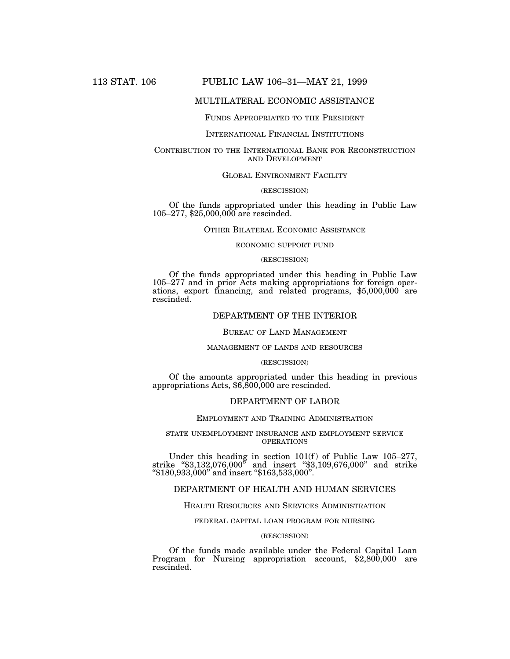# 113 STAT. 106 PUBLIC LAW 106–31—MAY 21, 1999

# MULTILATERAL ECONOMIC ASSISTANCE

## FUNDS APPROPRIATED TO THE PRESIDENT

## INTERNATIONAL FINANCIAL INSTITUTIONS

# CONTRIBUTION TO THE INTERNATIONAL BANK FOR RECONSTRUCTION AND DEVELOPMENT

## GLOBAL ENVIRONMENT FACILITY

#### (RESCISSION)

Of the funds appropriated under this heading in Public Law 105–277, \$25,000,000 are rescinded.

## OTHER BILATERAL ECONOMIC ASSISTANCE

## ECONOMIC SUPPORT FUND

## (RESCISSION)

Of the funds appropriated under this heading in Public Law 105–277 and in prior Acts making appropriations for foreign operations, export financing, and related programs, \$5,000,000 are rescinded.

# DEPARTMENT OF THE INTERIOR

#### BUREAU OF LAND MANAGEMENT

### MANAGEMENT OF LANDS AND RESOURCES

#### (RESCISSION)

Of the amounts appropriated under this heading in previous appropriations Acts, \$6,800,000 are rescinded.

#### DEPARTMENT OF LABOR

# EMPLOYMENT AND TRAINING ADMINISTRATION

## STATE UNEMPLOYMENT INSURANCE AND EMPLOYMENT SERVICE OPERATIONS

Under this heading in section  $101(f)$  of Public Law  $105-277$ , strike ''\$3,132,076,000'' and insert ''\$3,109,676,000'' and strike ''\$180,933,000'' and insert ''\$163,533,000''.

# DEPARTMENT OF HEALTH AND HUMAN SERVICES

#### HEALTH RESOURCES AND SERVICES ADMINISTRATION

### FEDERAL CAPITAL LOAN PROGRAM FOR NURSING

## (RESCISSION)

Of the funds made available under the Federal Capital Loan Program for Nursing appropriation account, \$2,800,000 are rescinded.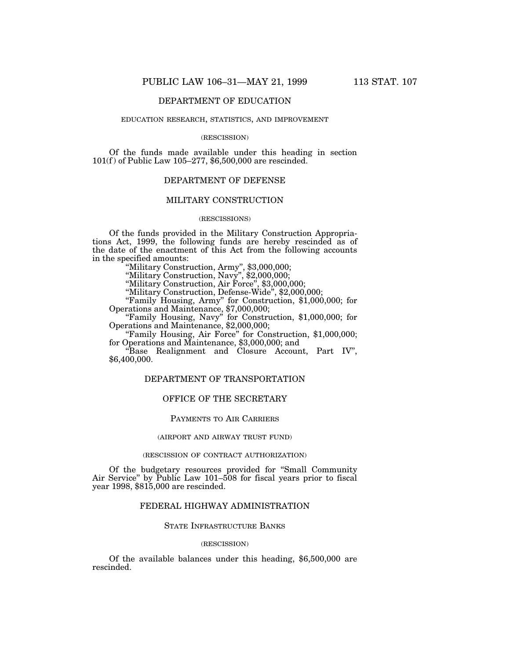# DEPARTMENT OF EDUCATION

### EDUCATION RESEARCH, STATISTICS, AND IMPROVEMENT

#### (RESCISSION)

Of the funds made available under this heading in section 101(f) of Public Law 105–277, \$6,500,000 are rescinded.

# DEPARTMENT OF DEFENSE

## MILITARY CONSTRUCTION

# (RESCISSIONS)

Of the funds provided in the Military Construction Appropriations Act, 1999, the following funds are hereby rescinded as of the date of the enactment of this Act from the following accounts in the specified amounts:

''Military Construction, Army'', \$3,000,000;

''Military Construction, Navy'', \$2,000,000;

''Military Construction, Air Force'', \$3,000,000;

''Military Construction, Defense-Wide'', \$2,000,000;

''Family Housing, Army'' for Construction, \$1,000,000; for Operations and Maintenance, \$7,000,000;

''Family Housing, Navy'' for Construction, \$1,000,000; for Operations and Maintenance, \$2,000,000;

''Family Housing, Air Force'' for Construction, \$1,000,000; for Operations and Maintenance, \$3,000,000; and

''Base Realignment and Closure Account, Part IV'', \$6,400,000.

# DEPARTMENT OF TRANSPORTATION

# OFFICE OF THE SECRETARY

## PAYMENTS TO AIR CARRIERS

#### (AIRPORT AND AIRWAY TRUST FUND)

#### (RESCISSION OF CONTRACT AUTHORIZATION)

Of the budgetary resources provided for ''Small Community Air Service'' by Public Law 101–508 for fiscal years prior to fiscal year 1998, \$815,000 are rescinded.

# FEDERAL HIGHWAY ADMINISTRATION

# STATE INFRASTRUCTURE BANKS

## (RESCISSION)

Of the available balances under this heading, \$6,500,000 are rescinded.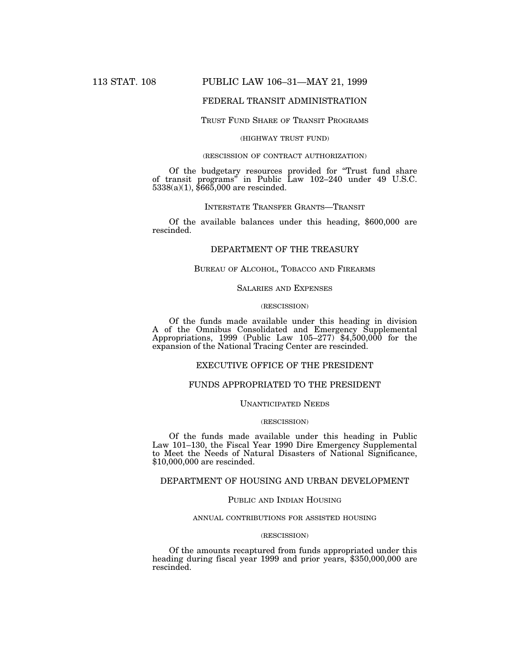# 113 STAT. 108 PUBLIC LAW 106–31—MAY 21, 1999

# FEDERAL TRANSIT ADMINISTRATION

## TRUST FUND SHARE OF TRANSIT PROGRAMS

# (HIGHWAY TRUST FUND)

## (RESCISSION OF CONTRACT AUTHORIZATION)

Of the budgetary resources provided for ''Trust fund share of transit programs'' in Public Law 102–240 under 49 U.S.C. 5338(a)(1), \$665,000 are rescinded.

# INTERSTATE TRANSFER GRANTS—TRANSIT

Of the available balances under this heading, \$600,000 are rescinded.

# DEPARTMENT OF THE TREASURY

# BUREAU OF ALCOHOL, TOBACCO AND FIREARMS

# SALARIES AND EXPENSES

# (RESCISSION)

Of the funds made available under this heading in division A of the Omnibus Consolidated and Emergency Supplemental Appropriations, 1999 (Public Law 105–277) \$4,500,000 for the expansion of the National Tracing Center are rescinded.

# EXECUTIVE OFFICE OF THE PRESIDENT

# FUNDS APPROPRIATED TO THE PRESIDENT

## UNANTICIPATED NEEDS

## (RESCISSION)

Of the funds made available under this heading in Public Law 101–130, the Fiscal Year 1990 Dire Emergency Supplemental to Meet the Needs of Natural Disasters of National Significance, \$10,000,000 are rescinded.

# DEPARTMENT OF HOUSING AND URBAN DEVELOPMENT

### PUBLIC AND INDIAN HOUSING

## ANNUAL CONTRIBUTIONS FOR ASSISTED HOUSING

## (RESCISSION)

Of the amounts recaptured from funds appropriated under this heading during fiscal year 1999 and prior years, \$350,000,000 are rescinded.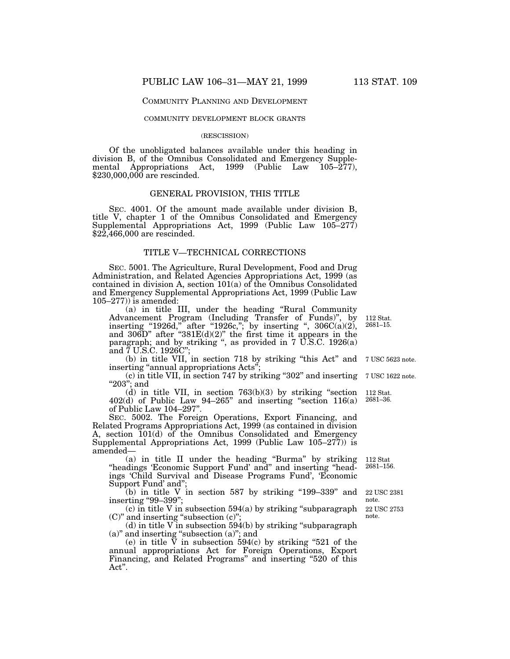### COMMUNITY PLANNING AND DEVELOPMENT

### COMMUNITY DEVELOPMENT BLOCK GRANTS

#### (RESCISSION)

Of the unobligated balances available under this heading in division B, of the Omnibus Consolidated and Emergency Supplemental Appropriations Act, 1999 (Public Law 105–277), \$230,000,000 are rescinded.

## GENERAL PROVISION, THIS TITLE

SEC. 4001. Of the amount made available under division B, title V, chapter 1 of the Omnibus Consolidated and Emergency Supplemental Appropriations Act, 1999 (Public Law 105–277) \$22,466,000 are rescinded.

# TITLE V—TECHNICAL CORRECTIONS

SEC. 5001. The Agriculture, Rural Development, Food and Drug Administration, and Related Agencies Appropriations Act, 1999 (as contained in division A, section 101(a) of the Omnibus Consolidated and Emergency Supplemental Appropriations Act, 1999 (Public Law 105–277)) is amended:

(a) in title III, under the heading ''Rural Community Advancement Program (Including Transfer of Funds)'', by inserting "1926d," after "1926c,"; by inserting ",  $306C(a)(2)$ , and 306D" after " $381E(d)(2)$ " the first time it appears in the paragraph; and by striking ", as provided in  $7 \overline{U}$ .S.C. 1926(a) and 7 U.S.C. 1926C''; 112 Stat. 2681–15.

(b) in title VII, in section 718 by striking ''this Act'' and 7 USC 5623 note. inserting "annual appropriations Acts";

(c) in title VII, in section 747 by striking ''302'' and inserting "203"; and

(d) in title VII, in section  $763(b)(3)$  by striking "section  $402(d)$  of Public Law  $94-265$ " and inserting "section  $116(a)$ of Public Law 104–297''.

SEC. 5002. The Foreign Operations, Export Financing, and Related Programs Appropriations Act, 1999 (as contained in division A, section 101(d) of the Omnibus Consolidated and Emergency Supplemental Appropriations Act, 1999 (Public Law 105–277)) is amended—

(a) in title II under the heading ''Burma'' by striking "headings 'Economic Support Fund' and" and inserting "headings 'Child Survival and Disease Programs Fund', 'Economic Support Fund' and'';

 $(b)$  in title V in section 587 by striking "199-339" and inserting ''99–399'';

 $(c)$  in title V in subsection 594 $(a)$  by striking "subparagraph" (C)'' and inserting ''subsection (c)''; note.

 $(d)$  in title V in subsection 594 $(b)$  by striking "subparagraph" (a)'' and inserting ''subsection (a)''; and

(e) in title  $\overline{V}$  in subsection 594(c) by striking "521 of the annual appropriations Act for Foreign Operations, Export Financing, and Related Programs" and inserting "520 of this Act''.

7 USC 1622 note.

112 Stat. 2681–36.

112 Stat 2681–156.

22 USC 2753 22 USC 2381 note.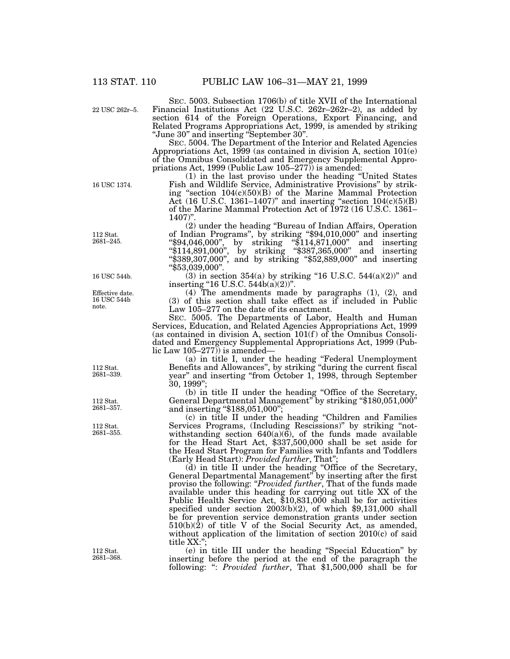22 USC 262r–5.

SEC. 5003. Subsection 1706(b) of title XVII of the International Financial Institutions Act (22 U.S.C. 262r–262r–2), as added by section 614 of the Foreign Operations, Export Financing, and Related Programs Appropriations Act, 1999, is amended by striking ''June 30'' and inserting ''September 30''.

SEC. 5004. The Department of the Interior and Related Agencies Appropriations Act, 1999 (as contained in division A, section 101(e) of the Omnibus Consolidated and Emergency Supplemental Appropriations Act, 1999 (Public Law 105–277)) is amended:

(1) in the last proviso under the heading ''United States Fish and Wildlife Service, Administrative Provisions'' by striking ''section 104(c)(50)(B) of the Marine Mammal Protection Act (16 U.S.C. 1361–1407)'' and inserting ''section 104(c)(5)(B) of the Marine Mammal Protection Act of 1972 (16 U.S.C. 1361– 1407)''.

(2) under the heading ''Bureau of Indian Affairs, Operation of Indian Programs'', by striking ''\$94,010,000'' and inserting ''\$94,046,000'', by striking ''\$114,871,000'' and inserting ''\$114,891,000'', by striking ''\$387,365,000'' and inserting ''\$389,307,000'', and by striking ''\$52,889,000'' and inserting ''\$53,039,000''.

(3) in section 354(a) by striking "16 U.S.C. 544(a)(2))" and inserting "16 U.S.C.  $544b(a)(2)$ ".

(4) The amendments made by paragraphs (1), (2), and (3) of this section shall take effect as if included in Public Law 105–277 on the date of its enactment.

SEC. 5005. The Departments of Labor, Health and Human Services, Education, and Related Agencies Appropriations Act, 1999 (as contained in division A, section  $101(f)$  of the Omnibus Consolidated and Emergency Supplemental Appropriations Act, 1999 (Public Law 105–277)) is amended—

(a) in title I, under the heading ''Federal Unemployment Benefits and Allowances'', by striking ''during the current fiscal year" and inserting "from October 1, 1998, through September 30, 1999'';

(b) in title II under the heading ''Office of the Secretary, General Departmental Management'' by striking ''\$180,051,000'' and inserting "\$188,051,000";

(c) in title II under the heading ''Children and Families Services Programs, (Including Rescissions)'' by striking ''notwithstanding section 640(a)(6), of the funds made available for the Head Start Act, \$337,500,000 shall be set aside for the Head Start Program for Families with Infants and Toddlers (Early Head Start): *Provided further*, That'';

(d) in title II under the heading ''Office of the Secretary, General Departmental Management'' by inserting after the first proviso the following: "*Provided further*, That of the funds made available under this heading for carrying out title XX of the Public Health Service Act, \$10,831,000 shall be for activities specified under section 2003(b)(2), of which \$9,131,000 shall be for prevention service demonstration grants under section  $510(b)(\hat{2})$  of title V of the Social Security Act, as amended, without application of the limitation of section 2010(c) of said title XX:'';

(e) in title III under the heading ''Special Education'' by inserting before the period at the end of the paragraph the following: '': *Provided further*, That \$1,500,000 shall be for

112 Stat. 2681–245.

16 USC 1374.

16 USC 544b.

Effective date. 16 USC 544b note.

112 Stat. 2681–339.

112 Stat. 2681–357.

112 Stat. 2681–355.

112 Stat. 2681–368.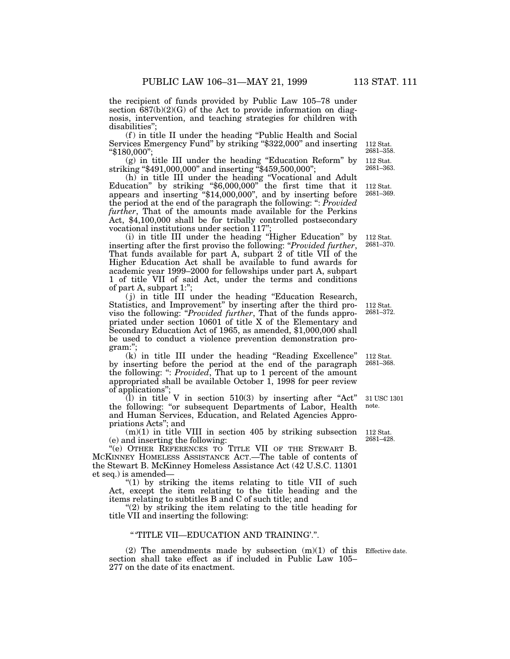the recipient of funds provided by Public Law 105–78 under section  $687(b)(2)(G)$  of the Act to provide information on diagnosis, intervention, and teaching strategies for children with disabilities'';

(f ) in title II under the heading ''Public Health and Social Services Emergency Fund'' by striking ''\$322,000'' and inserting ''\$180,000'';

(g) in title III under the heading ''Education Reform'' by striking ''\$491,000,000'' and inserting ''\$459,500,000'';

(h) in title III under the heading ''Vocational and Adult Education'' by striking ''\$6,000,000'' the first time that it appears and inserting ''\$14,000,000'', and by inserting before the period at the end of the paragraph the following: '': *Provided further*, That of the amounts made available for the Perkins Act, \$4,100,000 shall be for tribally controlled postsecondary vocational institutions under section 117'

(i) in title III under the heading ''Higher Education'' by inserting after the first proviso the following: ''*Provided further*, That funds available for part A, subpart  $\check{2}$  of title VII of the Higher Education Act shall be available to fund awards for academic year 1999–2000 for fellowships under part A, subpart 1 of title VII of said Act, under the terms and conditions of part A, subpart 1:'';

( j) in title III under the heading ''Education Research, Statistics, and Improvement'' by inserting after the third proviso the following: ''*Provided further*, That of the funds appropriated under section 10601 of title X of the Elementary and Secondary Education Act of 1965, as amended, \$1,000,000 shall be used to conduct a violence prevention demonstration program:'';

(k) in title III under the heading ''Reading Excellence'' by inserting before the period at the end of the paragraph the following: '': *Provided*, That up to 1 percent of the amount appropriated shall be available October 1, 1998 for peer review of applications''; 112 Stat.

(1) in title V in section  $510(3)$  by inserting after "Act" the following: ''or subsequent Departments of Labor, Health and Human Services, Education, and Related Agencies Appropriations Acts''; and

 $(m)(1)$  in title VIII in section 405 by striking subsection (e) and inserting the following:

"(e) OTHER REFERENCES TO TITLE VII OF THE STEWART B. MCKINNEY HOMELESS ASSISTANCE ACT.—The table of contents of the Stewart B. McKinney Homeless Assistance Act (42 U.S.C. 11301 et seq.) is amended—

"(1) by striking the items relating to title VII of such Act, except the item relating to the title heading and the items relating to subtitles B and C of such title; and

" $(2)$  by striking the item relating to the title heading for title VII and inserting the following:

# '' 'TITLE VII—EDUCATION AND TRAINING'.''.

(2) The amendments made by subsection  $(m)(1)$  of this Effective date. section shall take effect as if included in Public Law 105– 277 on the date of its enactment.

2681–368.

31 USC 1301 note.

112 Stat. 2681–428.

112 Stat. 2681–363. 2681–358.

112 Stat.

112 Stat. 2681–369.

112 Stat. 2681–370.

112 Stat. 2681–372.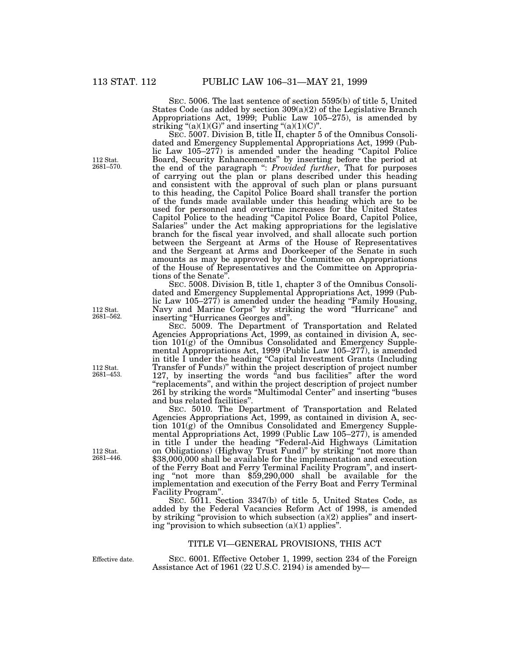SEC. 5006. The last sentence of section 5595(b) of title 5, United States Code (as added by section 309(a)(2) of the Legislative Branch Appropriations Act, 1999; Public Law 105–275), is amended by striking " $(a)(1)(G)$ " and inserting " $(a)(1)(C)$ ".

SEC. 5007. Division B, title II, chapter 5 of the Omnibus Consolidated and Emergency Supplemental Appropriations Act, 1999 (Public Law 105–277) is amended under the heading "Capitol Police" Board, Security Enhancements'' by inserting before the period at the end of the paragraph '': *Provided further*, That for purposes of carrying out the plan or plans described under this heading and consistent with the approval of such plan or plans pursuant to this heading, the Capitol Police Board shall transfer the portion of the funds made available under this heading which are to be used for personnel and overtime increases for the United States Capitol Police to the heading ''Capitol Police Board, Capitol Police, Salaries'' under the Act making appropriations for the legislative branch for the fiscal year involved, and shall allocate such portion between the Sergeant at Arms of the House of Representatives and the Sergeant at Arms and Doorkeeper of the Senate in such amounts as may be approved by the Committee on Appropriations of the House of Representatives and the Committee on Appropriations of the Senate''.

SEC. 5008. Division B, title 1, chapter 3 of the Omnibus Consolidated and Emergency Supplemental Appropriations Act, 1999 (Public Law 105–277) is amended under the heading "Family Housing, Navy and Marine Corps'' by striking the word ''Hurricane'' and inserting ''Hurricanes Georges and''.

SEC. 5009. The Department of Transportation and Related Agencies Appropriations Act, 1999, as contained in division A, section 101(g) of the Omnibus Consolidated and Emergency Supplemental Appropriations Act, 1999 (Public Law 105–277), is amended in title I under the heading ''Capital Investment Grants (Including Transfer of Funds)'' within the project description of project number 127, by inserting the words "and bus facilities" after the word ''replacements'', and within the project description of project number 261 by striking the words ''Multimodal Center'' and inserting ''buses and bus related facilities''.

SEC. 5010. The Department of Transportation and Related Agencies Appropriations Act, 1999, as contained in division A, section 101(g) of the Omnibus Consolidated and Emergency Supplemental Appropriations Act, 1999 (Public Law 105–277), is amended in title I under the heading "Federal-Aid Highways (Limitation on Obligations) (Highway Trust Fund)'' by striking ''not more than \$38,000,000 shall be available for the implementation and execution of the Ferry Boat and Ferry Terminal Facility Program'', and inserting ''not more than \$59,290,000 shall be available for the implementation and execution of the Ferry Boat and Ferry Terminal Facility Program''.

SEC. 5011. Section 3347(b) of title 5, United States Code, as added by the Federal Vacancies Reform Act of 1998, is amended by striking "provision to which subsection  $(a)(2)$  applies" and inserting "provision to which subsection  $(a)(1)$  applies".

# TITLE VI—GENERAL PROVISIONS, THIS ACT

Effective date.

SEC. 6001. Effective October 1, 1999, section 234 of the Foreign Assistance Act of 1961 (22 U.S.C. 2194) is amended by—

112 Stat. 2681–570.

112 Stat. 2681–562.

112 Stat. 2681–453.

112 Stat. 2681–446.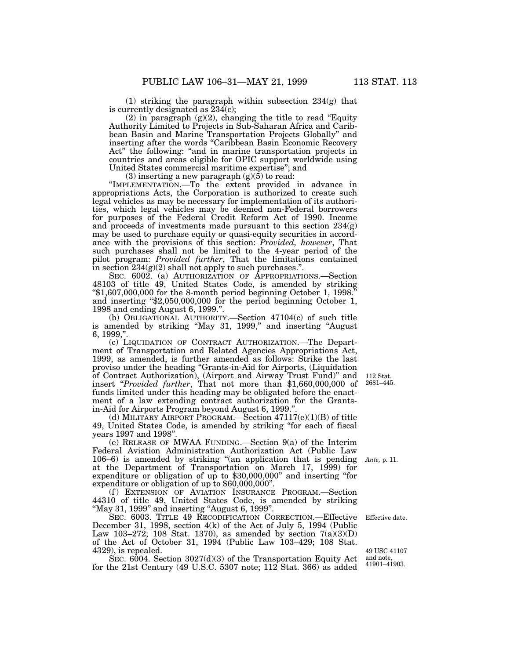(1) striking the paragraph within subsection 234(g) that is currently designated as  $234(c)$ ;

(2) in paragraph  $(g)(2)$ , changing the title to read "Equity" Authority Limited to Projects in Sub-Saharan Africa and Caribbean Basin and Marine Transportation Projects Globally'' and inserting after the words "Caribbean Basin Economic Recovery Act" the following: "and in marine transportation projects in countries and areas eligible for OPIC support worldwide using United States commercial maritime expertise''; and

(3) inserting a new paragraph  $(g)(5)$  to read:

''IMPLEMENTATION.—To the extent provided in advance in appropriations Acts, the Corporation is authorized to create such legal vehicles as may be necessary for implementation of its authorities, which legal vehicles may be deemed non-Federal borrowers for purposes of the Federal Credit Reform Act of 1990. Income and proceeds of investments made pursuant to this section  $234(g)$ may be used to purchase equity or quasi-equity securities in accordance with the provisions of this section: *Provided, however*, That such purchases shall not be limited to the 4-year period of the pilot program: *Provided further*, That the limitations contained in section 234(g)(2) shall not apply to such purchases.''.

SEC. 6002. (a) AUTHORIZATION OF APPROPRIATIONS.—Section 48103 of title 49, United States Code, is amended by striking ''\$1,607,000,000 for the 8-month period beginning October 1, 1998.'' and inserting ''\$2,050,000,000 for the period beginning October 1, 1998 and ending August 6, 1999.''.

(b) OBLIGATIONAL AUTHORITY.—Section 47104(c) of such title is amended by striking "May 31, 1999," and inserting "August 6, 1999,''.

(c) LIQUIDATION OF CONTRACT AUTHORIZATION.—The Department of Transportation and Related Agencies Appropriations Act, 1999, as amended, is further amended as follows: Strike the last proviso under the heading ''Grants-in-Aid for Airports, (Liquidation of Contract Authorization), (Airport and Airway Trust Fund)'' and insert ''*Provided further*, That not more than \$1,660,000,000 of funds limited under this heading may be obligated before the enactment of a law extending contract authorization for the Grantsin-Aid for Airports Program beyond August 6, 1999."

(d) MILITARY AIRPORT PROGRAM.—Section 47117(e)(1)(B) of title 49, United States Code, is amended by striking ''for each of fiscal years 1997 and 1998".

(e) RELEASE OF MWAA FUNDING.—Section 9(a) of the Interim Federal Aviation Administration Authorization Act (Public Law 106–6) is amended by striking ''(an application that is pending *Ante,* p. 11. at the Department of Transportation on March 17, 1999) for expenditure or obligation of up to \$30,000,000'' and inserting ''for expenditure or obligation of up to \$60,000,000''.

(f) EXTENSION OF AVIATION INSURANCE PROGRAM.-Section 44310 of title 49, United States Code, is amended by striking ''May 31, 1999'' and inserting ''August 6, 1999''.

SEC. 6003. TITLE 49 RECODIFICATION CORRECTION.—Effective December 31, 1998, section 4(k) of the Act of July 5, 1994 (Public Law 103–272; 108 Stat. 1370), as amended by section  $7(a)(3)(D)$ of the Act of October 31, 1994 (Public Law 103–429; 108 Stat. 4329), is repealed.

SEC. 6004. Section 3027(d)(3) of the Transportation Equity Act for the 21st Century (49 U.S.C. 5307 note; 112 Stat. 366) as added

112 Stat. 2681–445.

Effective date.

49 USC 41107 and note, 41901–41903.